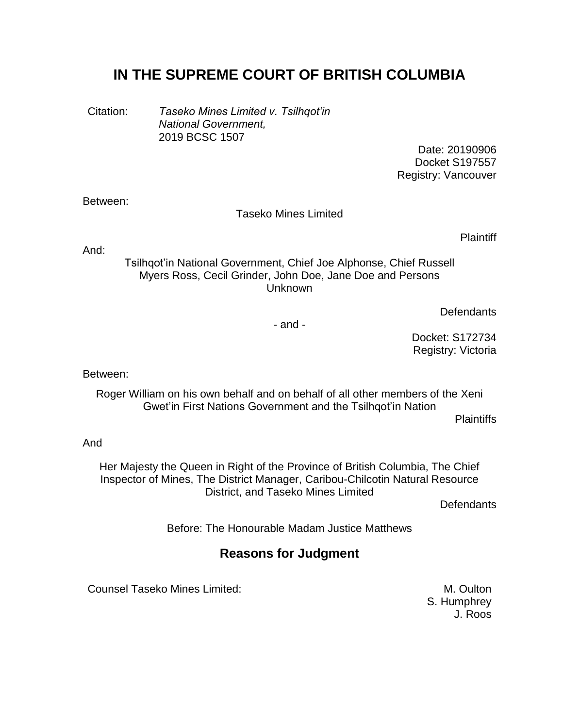# **IN THE SUPREME COURT OF BRITISH COLUMBIA**

Citation: *Taseko Mines Limited v. Tsilhqot'in National Government,* 2019 BCSC 1507

> Date: 20190906 Docket S197557 Registry: Vancouver

#### Between:

#### Taseko Mines Limited

**Plaintiff** 

And:

Tsilhqot'in National Government, Chief Joe Alphonse, Chief Russell Myers Ross, Cecil Grinder, John Doe, Jane Doe and Persons Unknown

**Defendants** 

- and -

Docket: S172734 Registry: Victoria

Between:

Roger William on his own behalf and on behalf of all other members of the Xeni Gwet'in First Nations Government and the Tsilhqot'in Nation

**Plaintiffs** 

And

Her Majesty the Queen in Right of the Province of British Columbia, The Chief Inspector of Mines, The District Manager, Caribou-Chilcotin Natural Resource District, and Taseko Mines Limited

Defendants

Before: The Honourable Madam Justice Matthews

## **Reasons for Judgment**

Counsel Taseko Mines Limited: M. Oulton

S. Humphrey J. Roos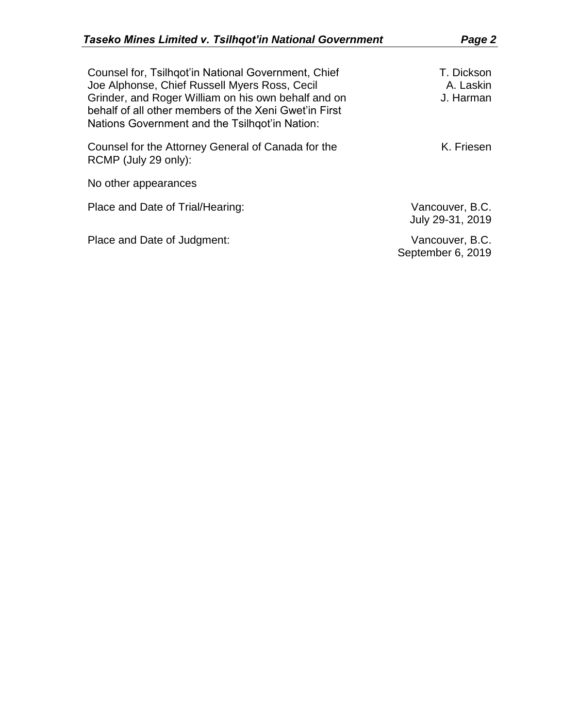| Counsel for, Tsilhgot'in National Government, Chief<br>Joe Alphonse, Chief Russell Myers Ross, Cecil<br>Grinder, and Roger William on his own behalf and on<br>behalf of all other members of the Xeni Gwet'in First<br>Nations Government and the Tsilhgot'in Nation: | T. Dickson<br>A. Laskin<br>J. Harman |
|------------------------------------------------------------------------------------------------------------------------------------------------------------------------------------------------------------------------------------------------------------------------|--------------------------------------|
| Counsel for the Attorney General of Canada for the<br>RCMP (July 29 only):                                                                                                                                                                                             | K. Friesen                           |
| No other appearances                                                                                                                                                                                                                                                   |                                      |
| Place and Date of Trial/Hearing:                                                                                                                                                                                                                                       | Vancouver, B.C.<br>July 29-31, 2019  |
| Place and Date of Judgment:                                                                                                                                                                                                                                            | Vancouver, B.C.<br>September 6, 2019 |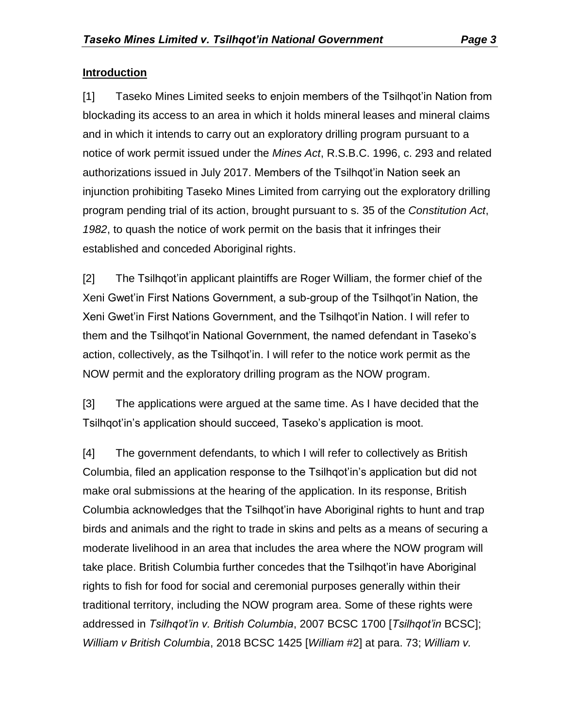### **Introduction**

[1] Taseko Mines Limited seeks to enjoin members of the Tsilhqot'in Nation from blockading its access to an area in which it holds mineral leases and mineral claims and in which it intends to carry out an exploratory drilling program pursuant to a notice of work permit issued under the *Mines Act*, R.S.B.C. 1996, c. 293 and related authorizations issued in July 2017. Members of the Tsilhqot'in Nation seek an injunction prohibiting Taseko Mines Limited from carrying out the exploratory drilling program pending trial of its action, brought pursuant to s. 35 of the *Constitution Act*, *1982*, to quash the notice of work permit on the basis that it infringes their established and conceded Aboriginal rights.

[2] The Tsilhqot'in applicant plaintiffs are Roger William, the former chief of the Xeni Gwet'in First Nations Government, a sub-group of the Tsilhqot'in Nation, the Xeni Gwet'in First Nations Government, and the Tsilhqot'in Nation. I will refer to them and the Tsilhqot'in National Government, the named defendant in Taseko's action, collectively, as the Tsilhqot'in. I will refer to the notice work permit as the NOW permit and the exploratory drilling program as the NOW program.

[3] The applications were argued at the same time. As I have decided that the Tsilhqot'in's application should succeed, Taseko's application is moot.

[4] The government defendants, to which I will refer to collectively as British Columbia, filed an application response to the Tsilhqot'in's application but did not make oral submissions at the hearing of the application. In its response, British Columbia acknowledges that the Tsilhqot'in have Aboriginal rights to hunt and trap birds and animals and the right to trade in skins and pelts as a means of securing a moderate livelihood in an area that includes the area where the NOW program will take place. British Columbia further concedes that the Tsilhqot'in have Aboriginal rights to fish for food for social and ceremonial purposes generally within their traditional territory, including the NOW program area. Some of these rights were addressed in *Tsilhqot'in v. British Columbia*, 2007 BCSC 1700 [*Tsilhqot'in* BCSC]; *William v British Columbia*, 2018 BCSC 1425 [*William* #2] at para. 73; *William v.*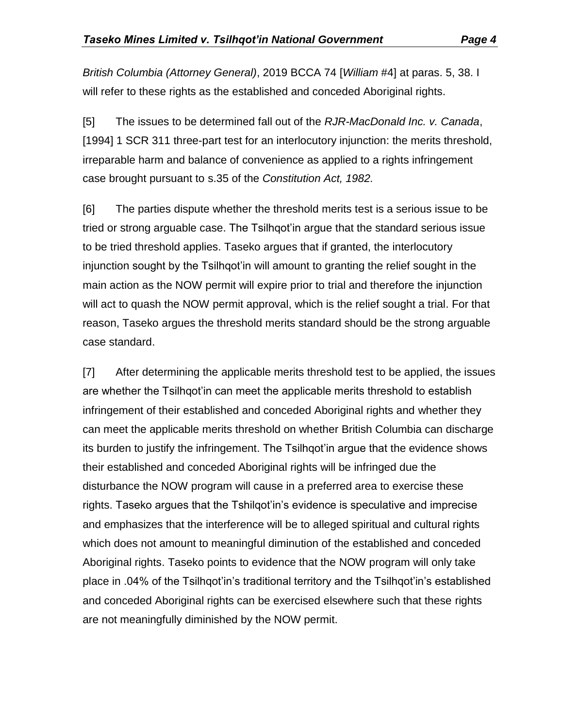*British Columbia (Attorney General)*, 2019 BCCA 74 [*William* #4] at paras. 5, 38. I will refer to these rights as the established and conceded Aboriginal rights.

[5] The issues to be determined fall out of the *RJR-MacDonald Inc. v. Canada*, [1994] 1 SCR 311 three-part test for an interlocutory injunction: the merits threshold, irreparable harm and balance of convenience as applied to a rights infringement case brought pursuant to s.35 of the *Constitution Act, 1982.*

[6] The parties dispute whether the threshold merits test is a serious issue to be tried or strong arguable case. The Tsilhqot'in argue that the standard serious issue to be tried threshold applies. Taseko argues that if granted, the interlocutory injunction sought by the Tsilhqot'in will amount to granting the relief sought in the main action as the NOW permit will expire prior to trial and therefore the injunction will act to quash the NOW permit approval, which is the relief sought a trial. For that reason, Taseko argues the threshold merits standard should be the strong arguable case standard.

[7] After determining the applicable merits threshold test to be applied, the issues are whether the Tsilhqot'in can meet the applicable merits threshold to establish infringement of their established and conceded Aboriginal rights and whether they can meet the applicable merits threshold on whether British Columbia can discharge its burden to justify the infringement. The Tsilhqot'in argue that the evidence shows their established and conceded Aboriginal rights will be infringed due the disturbance the NOW program will cause in a preferred area to exercise these rights. Taseko argues that the Tshilqot'in's evidence is speculative and imprecise and emphasizes that the interference will be to alleged spiritual and cultural rights which does not amount to meaningful diminution of the established and conceded Aboriginal rights. Taseko points to evidence that the NOW program will only take place in .04% of the Tsilhqot'in's traditional territory and the Tsilhqot'in's established and conceded Aboriginal rights can be exercised elsewhere such that these rights are not meaningfully diminished by the NOW permit.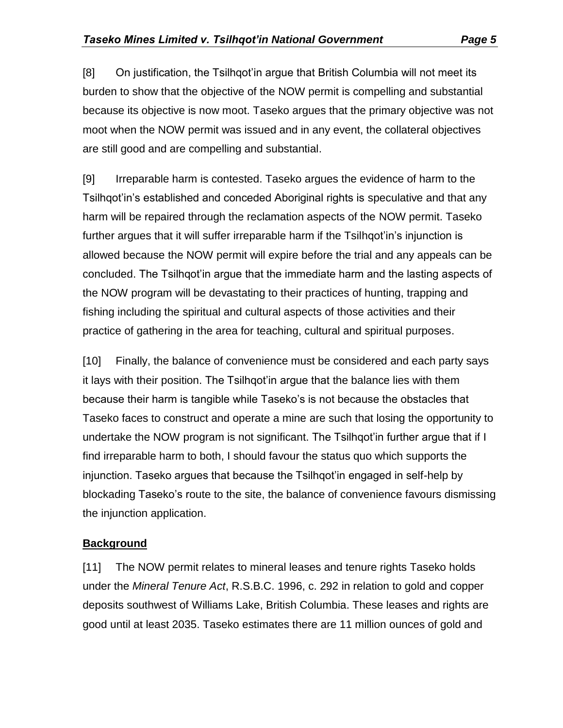[8] On justification, the Tsilhqot'in argue that British Columbia will not meet its burden to show that the objective of the NOW permit is compelling and substantial because its objective is now moot. Taseko argues that the primary objective was not moot when the NOW permit was issued and in any event, the collateral objectives are still good and are compelling and substantial.

[9] Irreparable harm is contested. Taseko argues the evidence of harm to the Tsilhqot'in's established and conceded Aboriginal rights is speculative and that any harm will be repaired through the reclamation aspects of the NOW permit. Taseko further argues that it will suffer irreparable harm if the Tsilhqot'in's injunction is allowed because the NOW permit will expire before the trial and any appeals can be concluded. The Tsilhqot'in argue that the immediate harm and the lasting aspects of the NOW program will be devastating to their practices of hunting, trapping and fishing including the spiritual and cultural aspects of those activities and their practice of gathering in the area for teaching, cultural and spiritual purposes.

[10] Finally, the balance of convenience must be considered and each party says it lays with their position. The Tsilhqot'in argue that the balance lies with them because their harm is tangible while Taseko's is not because the obstacles that Taseko faces to construct and operate a mine are such that losing the opportunity to undertake the NOW program is not significant. The Tsilhqot'in further argue that if I find irreparable harm to both, I should favour the status quo which supports the injunction. Taseko argues that because the Tsilhqot'in engaged in self-help by blockading Taseko's route to the site, the balance of convenience favours dismissing the injunction application.

## **Background**

[11] The NOW permit relates to mineral leases and tenure rights Taseko holds under the *Mineral Tenure Act*, R.S.B.C. 1996, c. 292 in relation to gold and copper deposits southwest of Williams Lake, British Columbia. These leases and rights are good until at least 2035. Taseko estimates there are 11 million ounces of gold and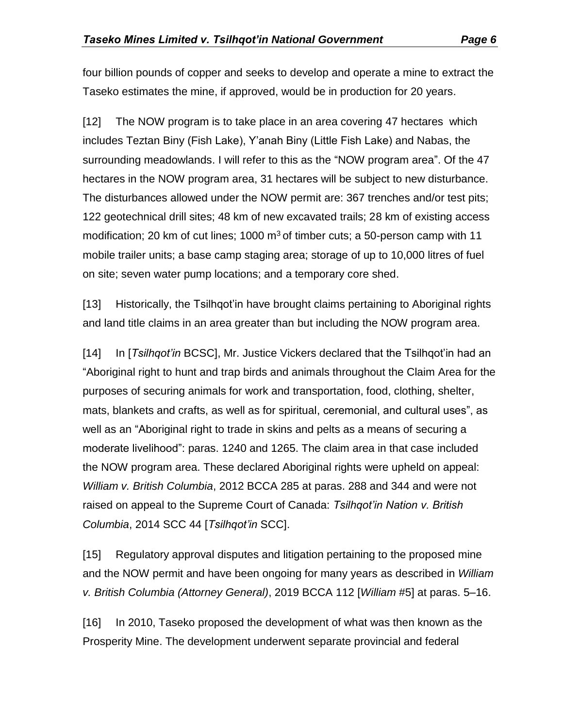four billion pounds of copper and seeks to develop and operate a mine to extract the Taseko estimates the mine, if approved, would be in production for 20 years.

[12] The NOW program is to take place in an area covering 47 hectares which includes Teztan Biny (Fish Lake), Y'anah Biny (Little Fish Lake) and Nabas, the surrounding meadowlands. I will refer to this as the "NOW program area". Of the 47 hectares in the NOW program area, 31 hectares will be subject to new disturbance. The disturbances allowed under the NOW permit are: 367 trenches and/or test pits; 122 geotechnical drill sites; 48 km of new excavated trails; 28 km of existing access modification; 20 km of cut lines; 1000  $\mathrm{m}^3$  of timber cuts; a 50-person camp with 11 mobile trailer units; a base camp staging area; storage of up to 10,000 litres of fuel on site; seven water pump locations; and a temporary core shed.

[13] Historically, the Tsilhqot'in have brought claims pertaining to Aboriginal rights and land title claims in an area greater than but including the NOW program area.

[14] In [*Tsilhqot'in* BCSC], Mr. Justice Vickers declared that the Tsilhqot'in had an "Aboriginal right to hunt and trap birds and animals throughout the Claim Area for the purposes of securing animals for work and transportation, food, clothing, shelter, mats, blankets and crafts, as well as for spiritual, ceremonial, and cultural uses", as well as an "Aboriginal right to trade in skins and pelts as a means of securing a moderate livelihood": paras. 1240 and 1265. The claim area in that case included the NOW program area. These declared Aboriginal rights were upheld on appeal: *William v. British Columbia*, 2012 BCCA 285 at paras. 288 and 344 and were not raised on appeal to the Supreme Court of Canada: *Tsilhqot'in Nation v. British Columbia*, 2014 SCC 44 [*Tsilhqot'in* SCC].

[15] Regulatory approval disputes and litigation pertaining to the proposed mine and the NOW permit and have been ongoing for many years as described in *William v. British Columbia (Attorney General)*, 2019 BCCA 112 [*William* #5] at paras. 5–16.

[16] In 2010, Taseko proposed the development of what was then known as the Prosperity Mine. The development underwent separate provincial and federal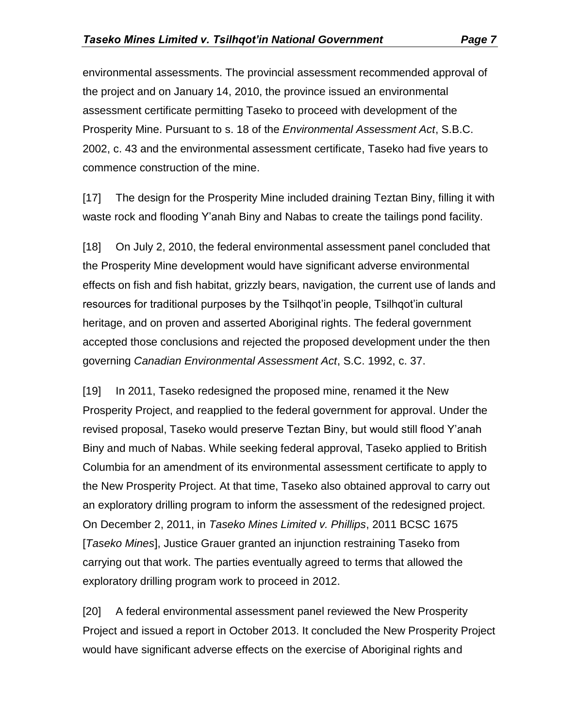environmental assessments. The provincial assessment recommended approval of the project and on January 14, 2010, the province issued an environmental assessment certificate permitting Taseko to proceed with development of the Prosperity Mine. Pursuant to s. 18 of the *Environmental Assessment Act*, S.B.C. 2002, c. 43 and the environmental assessment certificate, Taseko had five years to commence construction of the mine.

[17] The design for the Prosperity Mine included draining Teztan Biny, filling it with waste rock and flooding Y'anah Biny and Nabas to create the tailings pond facility.

[18] On July 2, 2010, the federal environmental assessment panel concluded that the Prosperity Mine development would have significant adverse environmental effects on fish and fish habitat, grizzly bears, navigation, the current use of lands and resources for traditional purposes by the Tsilhqot'in people, Tsilhqot'in cultural heritage, and on proven and asserted Aboriginal rights. The federal government accepted those conclusions and rejected the proposed development under the then governing *Canadian Environmental Assessment Act*, S.C. 1992, c. 37.

[19] In 2011, Taseko redesigned the proposed mine, renamed it the New Prosperity Project, and reapplied to the federal government for approval. Under the revised proposal, Taseko would preserve Teztan Biny, but would still flood Y'anah Biny and much of Nabas. While seeking federal approval, Taseko applied to British Columbia for an amendment of its environmental assessment certificate to apply to the New Prosperity Project. At that time, Taseko also obtained approval to carry out an exploratory drilling program to inform the assessment of the redesigned project. On December 2, 2011, in *Taseko Mines Limited v. Phillips*, [2011 BCSC 1675](https://www.canlii.org/en/bc/bcsc/doc/2011/2011bcsc1675/2011bcsc1675.html) [*Taseko Mines*], Justice Grauer granted an injunction restraining Taseko from carrying out that work. The parties eventually agreed to terms that allowed the exploratory drilling program work to proceed in 2012.

[20] A federal environmental assessment panel reviewed the New Prosperity Project and issued a report in October 2013. It concluded the New Prosperity Project would have significant adverse effects on the exercise of Aboriginal rights and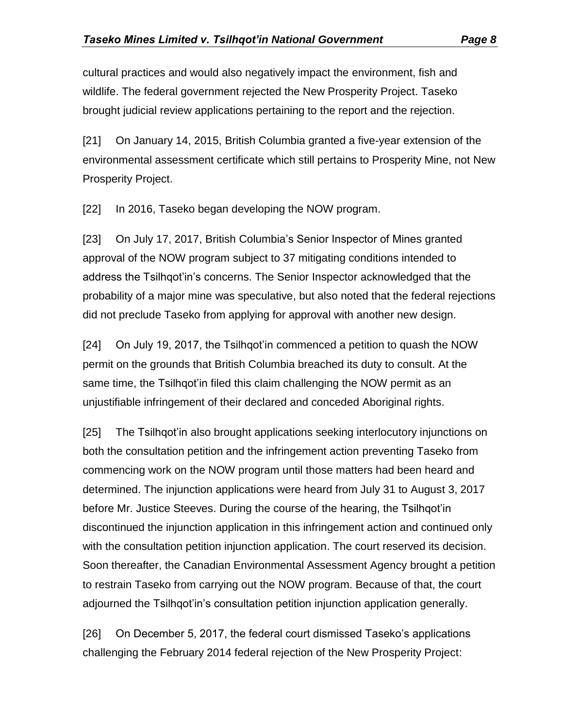cultural practices and would also negatively impact the environment, fish and wildlife. The federal government rejected the New Prosperity Project. Taseko brought judicial review applications pertaining to the report and the rejection.

[21] On January 14, 2015, British Columbia granted a five-year extension of the environmental assessment certificate which still pertains to Prosperity Mine, not New Prosperity Project.

[22] In 2016, Taseko began developing the NOW program.

[23] On July 17, 2017, British Columbia's Senior Inspector of Mines granted approval of the NOW program subject to 37 mitigating conditions intended to address the Tsilhqot'in's concerns. The Senior Inspector acknowledged that the probability of a major mine was speculative, but also noted that the federal rejections did not preclude Taseko from applying for approval with another new design.

[24] On July 19, 2017, the Tsilhqot'in commenced a petition to quash the NOW permit on the grounds that British Columbia breached its duty to consult. At the same time, the Tsilhqot'in filed this claim challenging the NOW permit as an unjustifiable infringement of their declared and conceded Aboriginal rights.

[25] The Tsilhqot'in also brought applications seeking interlocutory injunctions on both the consultation petition and the infringement action preventing Taseko from commencing work on the NOW program until those matters had been heard and determined. The injunction applications were heard from July 31 to August 3, 2017 before Mr. Justice Steeves. During the course of the hearing, the Tsilhqot'in discontinued the injunction application in this infringement action and continued only with the consultation petition injunction application. The court reserved its decision. Soon thereafter, the Canadian Environmental Assessment Agency brought a petition to restrain Taseko from carrying out the NOW program. Because of that, the court adjourned the Tsilhqot'in's consultation petition injunction application generally.

[26] On December 5, 2017, the federal court dismissed Taseko's applications challenging the February 2014 federal rejection of the New Prosperity Project: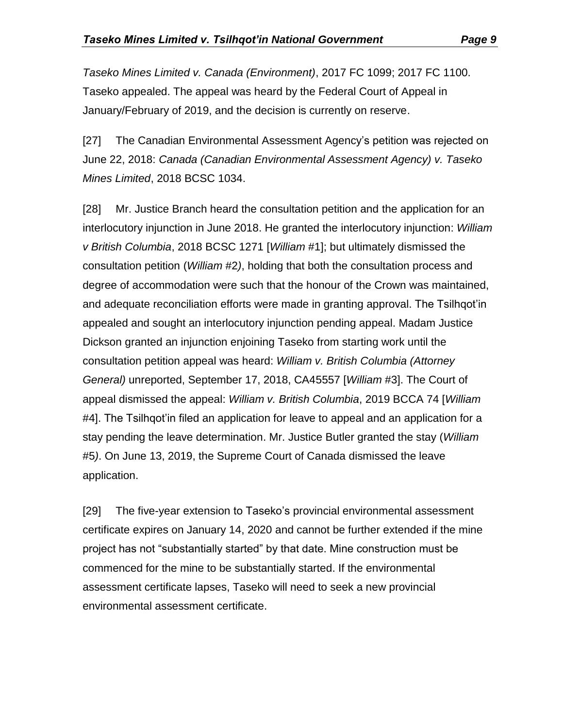*Taseko Mines Limited v. Canada (Environment)*, 2017 FC 1099; 2017 FC 1100. Taseko appealed. The appeal was heard by the Federal Court of Appeal in January/February of 2019, and the decision is currently on reserve.

[27] The Canadian Environmental Assessment Agency's petition was rejected on June 22, 2018: *Canada (Canadian Environmental Assessment Agency) v. Taseko Mines Limited*, 2018 BCSC 1034.

[28] Mr. Justice Branch heard the consultation petition and the application for an interlocutory injunction in June 2018. He granted the interlocutory injunction: *William v British Columbia*, 2018 BCSC 1271 [*William* #1]; but ultimately dismissed the consultation petition (*William* #2*)*, holding that both the consultation process and degree of accommodation were such that the honour of the Crown was maintained, and adequate reconciliation efforts were made in granting approval. The Tsilhqot'in appealed and sought an interlocutory injunction pending appeal. Madam Justice Dickson granted an injunction enjoining Taseko from starting work until the consultation petition appeal was heard: *William v. British Columbia (Attorney General)* unreported, September 17, 2018, CA45557 [*William* #3]. The Court of appeal dismissed the appeal: *William v. British Columbia*, 2019 BCCA 74 [*William*  #4]. The Tsilhqot'in filed an application for leave to appeal and an application for a stay pending the leave determination. Mr. Justice Butler granted the stay (*William*  #5*)*. On June 13, 2019, the Supreme Court of Canada dismissed the leave application.

[29] The five-year extension to Taseko's provincial environmental assessment certificate expires on January 14, 2020 and cannot be further extended if the mine project has not "substantially started" by that date. Mine construction must be commenced for the mine to be substantially started. If the environmental assessment certificate lapses, Taseko will need to seek a new provincial environmental assessment certificate.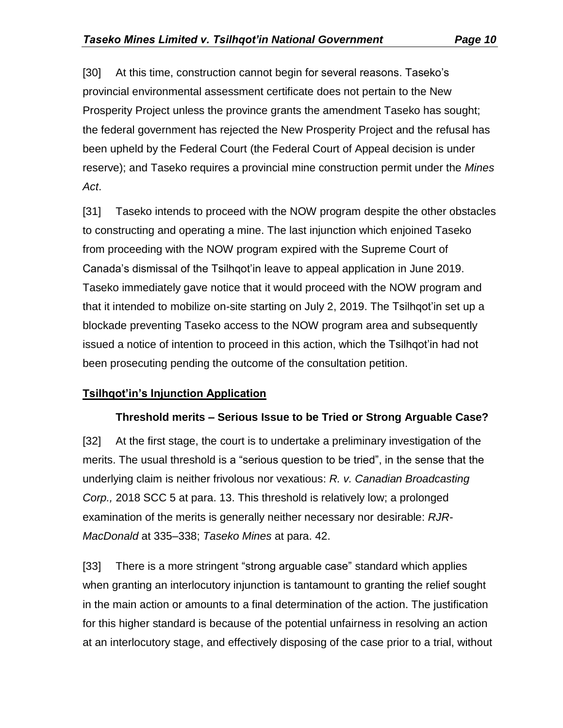[30] At this time, construction cannot begin for several reasons. Taseko's provincial environmental assessment certificate does not pertain to the New Prosperity Project unless the province grants the amendment Taseko has sought; the federal government has rejected the New Prosperity Project and the refusal has been upheld by the Federal Court (the Federal Court of Appeal decision is under reserve); and Taseko requires a provincial mine construction permit under the *Mines Act*.

[31] Taseko intends to proceed with the NOW program despite the other obstacles to constructing and operating a mine. The last injunction which enjoined Taseko from proceeding with the NOW program expired with the Supreme Court of Canada's dismissal of the Tsilhqot'in leave to appeal application in June 2019. Taseko immediately gave notice that it would proceed with the NOW program and that it intended to mobilize on-site starting on July 2, 2019. The Tsilhqot'in set up a blockade preventing Taseko access to the NOW program area and subsequently issued a notice of intention to proceed in this action, which the Tsilhqot'in had not been prosecuting pending the outcome of the consultation petition.

## **Tsilhqot'in's Injunction Application**

#### **Threshold merits – Serious Issue to be Tried or Strong Arguable Case?**

[32] At the first stage, the court is to undertake a preliminary investigation of the merits. The usual threshold is a "serious question to be tried", in the sense that the underlying claim is neither frivolous nor vexatious: *R. v. Canadian Broadcasting Corp.,* 2018 SCC 5 at para. 13. This threshold is relatively low; a prolonged examination of the merits is generally neither necessary nor desirable: *RJR-MacDonald* at 335–338; *Taseko Mines* at para. 42.

[33] There is a more stringent "strong arguable case" standard which applies when granting an interlocutory injunction is tantamount to granting the relief sought in the main action or amounts to a final determination of the action. The justification for this higher standard is because of the potential unfairness in resolving an action at an interlocutory stage, and effectively disposing of the case prior to a trial, without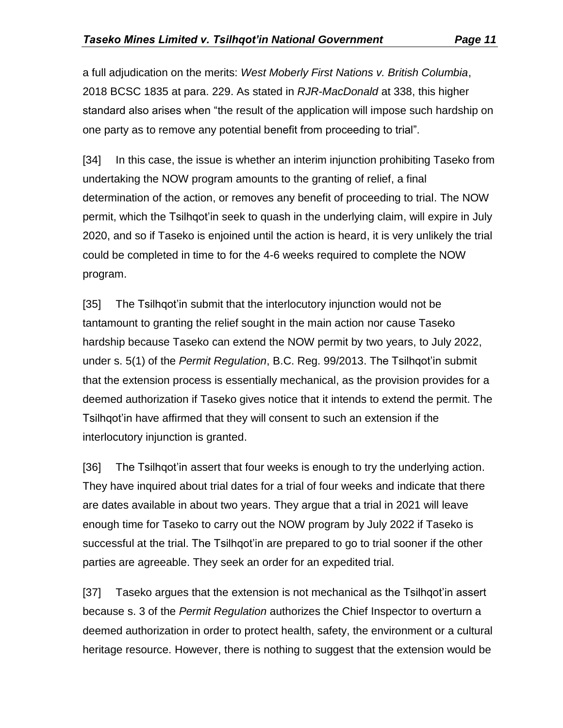a full adjudication on the merits: *West Moberly First Nations v. British Columbia*, 2018 BCSC 1835 at para. 229. As stated in *RJR-MacDonald* at 338, this higher standard also arises when "the result of the application will impose such hardship on one party as to remove any potential benefit from proceeding to trial".

[34] In this case, the issue is whether an interim injunction prohibiting Taseko from undertaking the NOW program amounts to the granting of relief, a final determination of the action, or removes any benefit of proceeding to trial. The NOW permit, which the Tsilhqot'in seek to quash in the underlying claim, will expire in July 2020, and so if Taseko is enjoined until the action is heard, it is very unlikely the trial could be completed in time to for the 4-6 weeks required to complete the NOW program.

[35] The Tsilhgot'in submit that the interlocutory injunction would not be tantamount to granting the relief sought in the main action nor cause Taseko hardship because Taseko can extend the NOW permit by two years, to July 2022, under s. 5(1) of the *Permit Regulation*, B.C. Reg. 99/2013. The Tsilhqot'in submit that the extension process is essentially mechanical, as the provision provides for a deemed authorization if Taseko gives notice that it intends to extend the permit. The Tsilhqot'in have affirmed that they will consent to such an extension if the interlocutory injunction is granted.

[36] The Tsilhgot'in assert that four weeks is enough to try the underlying action. They have inquired about trial dates for a trial of four weeks and indicate that there are dates available in about two years. They argue that a trial in 2021 will leave enough time for Taseko to carry out the NOW program by July 2022 if Taseko is successful at the trial. The Tsilhqot'in are prepared to go to trial sooner if the other parties are agreeable. They seek an order for an expedited trial.

[37] Taseko argues that the extension is not mechanical as the Tsilhqot'in assert because s. 3 of the *Permit Regulation* authorizes the Chief Inspector to overturn a deemed authorization in order to protect health, safety, the environment or a cultural heritage resource. However, there is nothing to suggest that the extension would be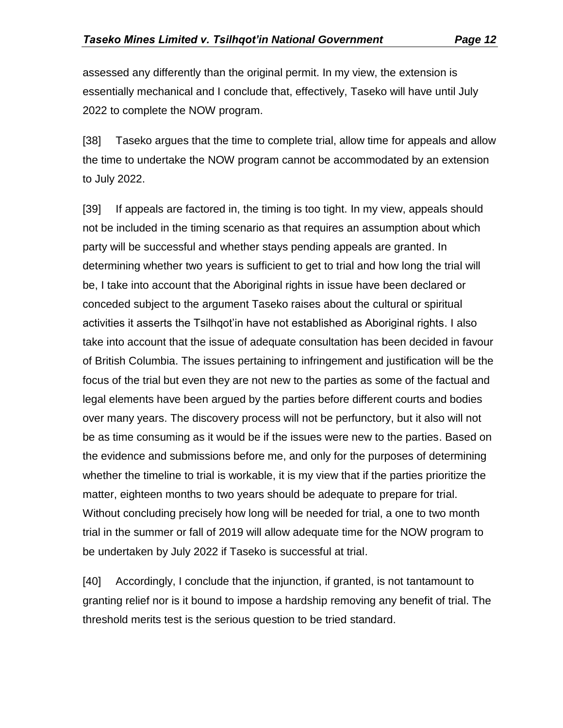assessed any differently than the original permit. In my view, the extension is essentially mechanical and I conclude that, effectively, Taseko will have until July 2022 to complete the NOW program.

[38] Taseko argues that the time to complete trial, allow time for appeals and allow the time to undertake the NOW program cannot be accommodated by an extension to July 2022.

[39] If appeals are factored in, the timing is too tight. In my view, appeals should not be included in the timing scenario as that requires an assumption about which party will be successful and whether stays pending appeals are granted. In determining whether two years is sufficient to get to trial and how long the trial will be, I take into account that the Aboriginal rights in issue have been declared or conceded subject to the argument Taseko raises about the cultural or spiritual activities it asserts the Tsilhqot'in have not established as Aboriginal rights. I also take into account that the issue of adequate consultation has been decided in favour of British Columbia. The issues pertaining to infringement and justification will be the focus of the trial but even they are not new to the parties as some of the factual and legal elements have been argued by the parties before different courts and bodies over many years. The discovery process will not be perfunctory, but it also will not be as time consuming as it would be if the issues were new to the parties. Based on the evidence and submissions before me, and only for the purposes of determining whether the timeline to trial is workable, it is my view that if the parties prioritize the matter, eighteen months to two years should be adequate to prepare for trial. Without concluding precisely how long will be needed for trial, a one to two month trial in the summer or fall of 2019 will allow adequate time for the NOW program to be undertaken by July 2022 if Taseko is successful at trial.

[40] Accordingly, I conclude that the injunction, if granted, is not tantamount to granting relief nor is it bound to impose a hardship removing any benefit of trial. The threshold merits test is the serious question to be tried standard.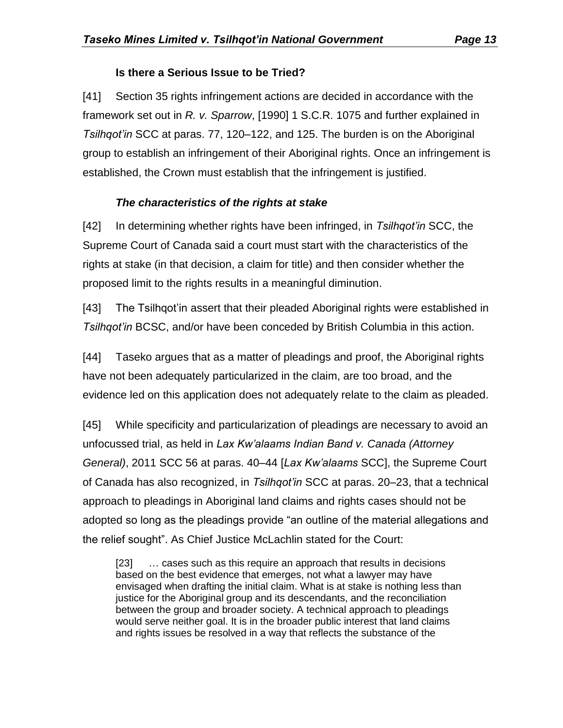## **Is there a Serious Issue to be Tried?**

[41] Section 35 rights infringement actions are decided in accordance with the framework set out in *R. v. Sparrow*, [1990] 1 S.C.R. 1075 and further explained in *Tsilhqot'in* SCC at paras. 77, 120–122, and 125. The burden is on the Aboriginal group to establish an infringement of their Aboriginal rights. Once an infringement is established, the Crown must establish that the infringement is justified.

## *The characteristics of the rights at stake*

[42] In determining whether rights have been infringed, in *Tsilhqot'in* SCC, the Supreme Court of Canada said a court must start with the characteristics of the rights at stake (in that decision, a claim for title) and then consider whether the proposed limit to the rights results in a meaningful diminution.

[43] The Tsilhqot'in assert that their pleaded Aboriginal rights were established in *Tsilhqot'in* BCSC, and/or have been conceded by British Columbia in this action.

[44] Taseko argues that as a matter of pleadings and proof, the Aboriginal rights have not been adequately particularized in the claim, are too broad, and the evidence led on this application does not adequately relate to the claim as pleaded.

[45] While specificity and particularization of pleadings are necessary to avoid an unfocussed trial, as held in *Lax Kw'alaams Indian Band v. Canada (Attorney General)*, 2011 SCC 56 at paras. 40–44 [*Lax Kw'alaams* SCC], the Supreme Court of Canada has also recognized, in *Tsilhqot'in* SCC at paras. 20–23, that a technical approach to pleadings in Aboriginal land claims and rights cases should not be adopted so long as the pleadings provide "an outline of the material allegations and the relief sought". As Chief Justice McLachlin stated for the Court:

[23] … cases such as this require an approach that results in decisions based on the best evidence that emerges, not what a lawyer may have envisaged when drafting the initial claim. What is at stake is nothing less than justice for the Aboriginal group and its descendants, and the reconciliation between the group and broader society. A technical approach to pleadings would serve neither goal. It is in the broader public interest that land claims and rights issues be resolved in a way that reflects the substance of the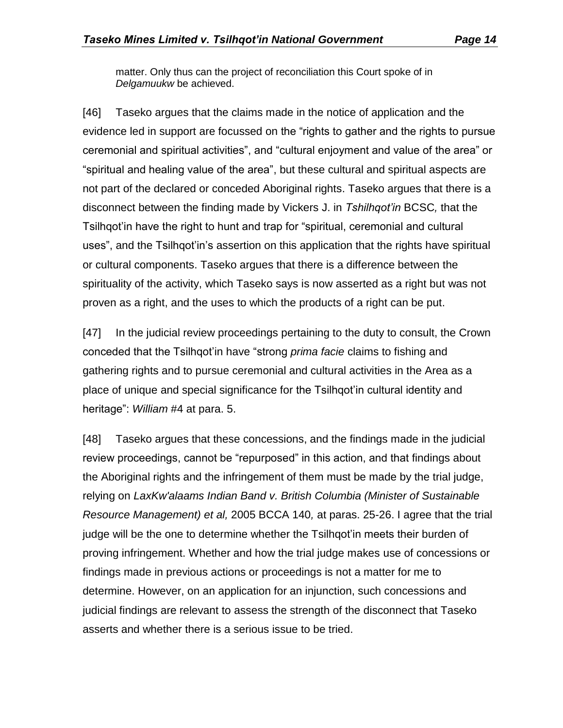matter. Only thus can the project of reconciliation this Court spoke of in *Delgamuukw* be achieved.

[46] Taseko argues that the claims made in the notice of application and the evidence led in support are focussed on the "rights to gather and the rights to pursue ceremonial and spiritual activities", and "cultural enjoyment and value of the area" or "spiritual and healing value of the area", but these cultural and spiritual aspects are not part of the declared or conceded Aboriginal rights. Taseko argues that there is a disconnect between the finding made by Vickers J. in *Tshilhqot'in* BCSC*,* that the Tsilhqot'in have the right to hunt and trap for "spiritual, ceremonial and cultural uses", and the Tsilhqot'in's assertion on this application that the rights have spiritual or cultural components. Taseko argues that there is a difference between the spirituality of the activity, which Taseko says is now asserted as a right but was not proven as a right, and the uses to which the products of a right can be put.

[47] In the judicial review proceedings pertaining to the duty to consult, the Crown conceded that the Tsilhqot'in have "strong *prima facie* claims to fishing and gathering rights and to pursue ceremonial and cultural activities in the Area as a place of unique and special significance for the Tsilhqot'in cultural identity and heritage": *William* #4 at para. 5.

[48] Taseko argues that these concessions, and the findings made in the judicial review proceedings, cannot be "repurposed" in this action, and that findings about the Aboriginal rights and the infringement of them must be made by the trial judge, relying on *LaxKw'alaams Indian Band v. British Columbia (Minister of Sustainable Resource Management) et al,* 2005 BCCA 140*,* at paras. 25-26. I agree that the trial judge will be the one to determine whether the Tsilhqot'in meets their burden of proving infringement. Whether and how the trial judge makes use of concessions or findings made in previous actions or proceedings is not a matter for me to determine. However, on an application for an injunction, such concessions and judicial findings are relevant to assess the strength of the disconnect that Taseko asserts and whether there is a serious issue to be tried.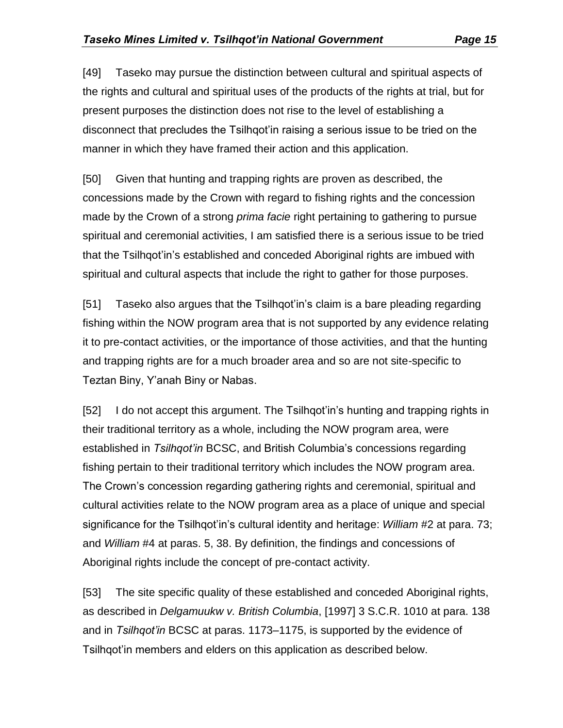[49] Taseko may pursue the distinction between cultural and spiritual aspects of the rights and cultural and spiritual uses of the products of the rights at trial, but for present purposes the distinction does not rise to the level of establishing a disconnect that precludes the Tsilhqot'in raising a serious issue to be tried on the manner in which they have framed their action and this application.

[50] Given that hunting and trapping rights are proven as described, the concessions made by the Crown with regard to fishing rights and the concession made by the Crown of a strong *prima facie* right pertaining to gathering to pursue spiritual and ceremonial activities, I am satisfied there is a serious issue to be tried that the Tsilhqot'in's established and conceded Aboriginal rights are imbued with spiritual and cultural aspects that include the right to gather for those purposes.

[51] Taseko also argues that the Tsilhqot'in's claim is a bare pleading regarding fishing within the NOW program area that is not supported by any evidence relating it to pre-contact activities, or the importance of those activities, and that the hunting and trapping rights are for a much broader area and so are not site-specific to Teztan Biny, Y'anah Biny or Nabas.

[52] I do not accept this argument. The Tsilhqot'in's hunting and trapping rights in their traditional territory as a whole, including the NOW program area, were established in *Tsilhqot'in* BCSC, and British Columbia's concessions regarding fishing pertain to their traditional territory which includes the NOW program area. The Crown's concession regarding gathering rights and ceremonial, spiritual and cultural activities relate to the NOW program area as a place of unique and special significance for the Tsilhqot'in's cultural identity and heritage: *William* #2 at para. 73; and *William* #4 at paras. 5, 38. By definition, the findings and concessions of Aboriginal rights include the concept of pre-contact activity.

[53] The site specific quality of these established and conceded Aboriginal rights, as described in *Delgamuukw v. British Columbia*, [1997] 3 S.C.R. 1010 at para. 138 and in *Tsilhqot'in* BCSC at paras. 1173–1175, is supported by the evidence of Tsilhqot'in members and elders on this application as described below.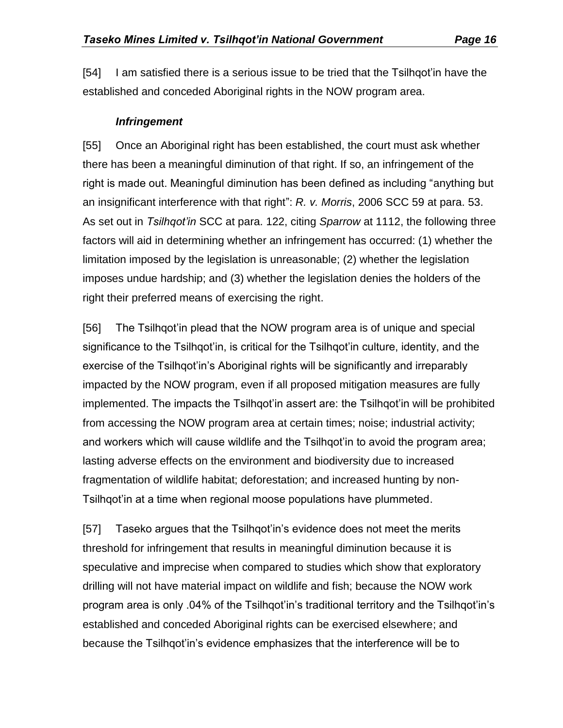[54] I am satisfied there is a serious issue to be tried that the Tsilhqot'in have the established and conceded Aboriginal rights in the NOW program area.

#### *Infringement*

[55] Once an Aboriginal right has been established, the court must ask whether there has been a meaningful diminution of that right. If so, an infringement of the right is made out. Meaningful diminution has been defined as including "anything but an insignificant interference with that right": *R. v. Morris*, 2006 SCC 59 at para. 53. As set out in *Tsilhqot'in* SCC at para. 122, citing *Sparrow* at 1112, the following three factors will aid in determining whether an infringement has occurred: (1) whether the limitation imposed by the legislation is unreasonable; (2) whether the legislation imposes undue hardship; and (3) whether the legislation denies the holders of the right their preferred means of exercising the right.

[56] The Tsilhqot'in plead that the NOW program area is of unique and special significance to the Tsilhqot'in, is critical for the Tsilhqot'in culture, identity, and the exercise of the Tsilhqot'in's Aboriginal rights will be significantly and irreparably impacted by the NOW program, even if all proposed mitigation measures are fully implemented. The impacts the Tsilhqot'in assert are: the Tsilhqot'in will be prohibited from accessing the NOW program area at certain times; noise; industrial activity; and workers which will cause wildlife and the Tsilhqot'in to avoid the program area; lasting adverse effects on the environment and biodiversity due to increased fragmentation of wildlife habitat; deforestation; and increased hunting by non-Tsilhqot'in at a time when regional moose populations have plummeted.

[57] Taseko argues that the Tsilhqot'in's evidence does not meet the merits threshold for infringement that results in meaningful diminution because it is speculative and imprecise when compared to studies which show that exploratory drilling will not have material impact on wildlife and fish; because the NOW work program area is only .04% of the Tsilhqot'in's traditional territory and the Tsilhqot'in's established and conceded Aboriginal rights can be exercised elsewhere; and because the Tsilhqot'in's evidence emphasizes that the interference will be to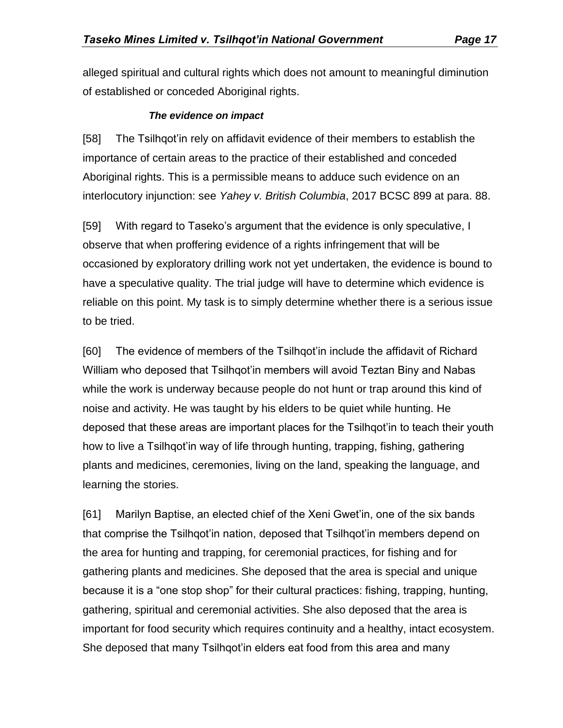alleged spiritual and cultural rights which does not amount to meaningful diminution of established or conceded Aboriginal rights.

#### *The evidence on impact*

[58] The Tsilhqot'in rely on affidavit evidence of their members to establish the importance of certain areas to the practice of their established and conceded Aboriginal rights. This is a permissible means to adduce such evidence on an interlocutory injunction: see *Yahey v. British Columbia*, 2017 BCSC 899 at para. 88.

[59] With regard to Taseko's argument that the evidence is only speculative, I observe that when proffering evidence of a rights infringement that will be occasioned by exploratory drilling work not yet undertaken, the evidence is bound to have a speculative quality. The trial judge will have to determine which evidence is reliable on this point. My task is to simply determine whether there is a serious issue to be tried.

[60] The evidence of members of the Tsilhqot'in include the affidavit of Richard William who deposed that Tsilhqot'in members will avoid Teztan Biny and Nabas while the work is underway because people do not hunt or trap around this kind of noise and activity. He was taught by his elders to be quiet while hunting. He deposed that these areas are important places for the Tsilhqot'in to teach their youth how to live a Tsilhqot'in way of life through hunting, trapping, fishing, gathering plants and medicines, ceremonies, living on the land, speaking the language, and learning the stories.

[61] Marilyn Baptise, an elected chief of the Xeni Gwet'in, one of the six bands that comprise the Tsilhqot'in nation, deposed that Tsilhqot'in members depend on the area for hunting and trapping, for ceremonial practices, for fishing and for gathering plants and medicines. She deposed that the area is special and unique because it is a "one stop shop" for their cultural practices: fishing, trapping, hunting, gathering, spiritual and ceremonial activities. She also deposed that the area is important for food security which requires continuity and a healthy, intact ecosystem. She deposed that many Tsilhqot'in elders eat food from this area and many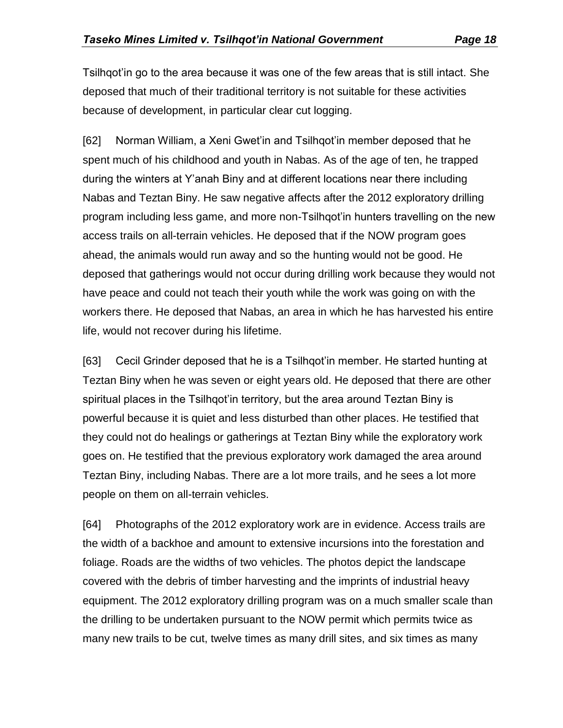Tsilhqot'in go to the area because it was one of the few areas that is still intact. She deposed that much of their traditional territory is not suitable for these activities because of development, in particular clear cut logging.

[62] Norman William, a Xeni Gwet'in and Tsilhqot'in member deposed that he spent much of his childhood and youth in Nabas. As of the age of ten, he trapped during the winters at Y'anah Biny and at different locations near there including Nabas and Teztan Biny. He saw negative affects after the 2012 exploratory drilling program including less game, and more non-Tsilhqot'in hunters travelling on the new access trails on all-terrain vehicles. He deposed that if the NOW program goes ahead, the animals would run away and so the hunting would not be good. He deposed that gatherings would not occur during drilling work because they would not have peace and could not teach their youth while the work was going on with the workers there. He deposed that Nabas, an area in which he has harvested his entire life, would not recover during his lifetime.

[63] Cecil Grinder deposed that he is a Tsilhqot'in member. He started hunting at Teztan Biny when he was seven or eight years old. He deposed that there are other spiritual places in the Tsilhqot'in territory, but the area around Teztan Biny is powerful because it is quiet and less disturbed than other places. He testified that they could not do healings or gatherings at Teztan Biny while the exploratory work goes on. He testified that the previous exploratory work damaged the area around Teztan Biny, including Nabas. There are a lot more trails, and he sees a lot more people on them on all-terrain vehicles.

[64] Photographs of the 2012 exploratory work are in evidence. Access trails are the width of a backhoe and amount to extensive incursions into the forestation and foliage. Roads are the widths of two vehicles. The photos depict the landscape covered with the debris of timber harvesting and the imprints of industrial heavy equipment. The 2012 exploratory drilling program was on a much smaller scale than the drilling to be undertaken pursuant to the NOW permit which permits twice as many new trails to be cut, twelve times as many drill sites, and six times as many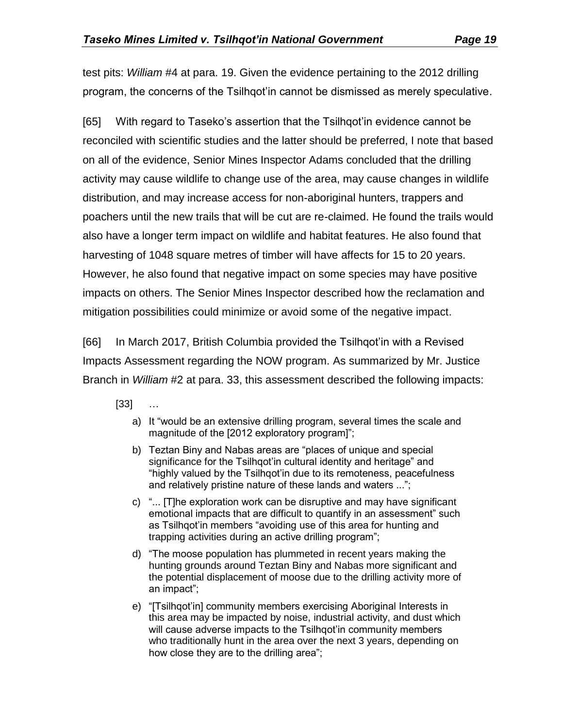test pits: *William* #4 at para. 19. Given the evidence pertaining to the 2012 drilling program, the concerns of the Tsilhqot'in cannot be dismissed as merely speculative.

[65] With regard to Taseko's assertion that the Tsilhqot'in evidence cannot be reconciled with scientific studies and the latter should be preferred, I note that based on all of the evidence, Senior Mines Inspector Adams concluded that the drilling activity may cause wildlife to change use of the area, may cause changes in wildlife distribution, and may increase access for non-aboriginal hunters, trappers and poachers until the new trails that will be cut are re-claimed. He found the trails would also have a longer term impact on wildlife and habitat features. He also found that harvesting of 1048 square metres of timber will have affects for 15 to 20 years. However, he also found that negative impact on some species may have positive impacts on others. The Senior Mines Inspector described how the reclamation and mitigation possibilities could minimize or avoid some of the negative impact.

[66] In March 2017, British Columbia provided the Tsilhqot'in with a Revised Impacts Assessment regarding the NOW program. As summarized by Mr. Justice Branch in *William* #2 at para. 33, this assessment described the following impacts:

 $[33]$ 

- a) It "would be an extensive drilling program, several times the scale and magnitude of the [2012 exploratory program]";
- b) Teztan Biny and Nabas areas are "places of unique and special significance for the Tsilhqot'in cultural identity and heritage" and "highly valued by the Tsilhqot'in due to its remoteness, peacefulness and relatively pristine nature of these lands and waters ...";
- c) "... [T]he exploration work can be disruptive and may have significant emotional impacts that are difficult to quantify in an assessment" such as Tsilhqot'in members "avoiding use of this area for hunting and trapping activities during an active drilling program";
- d) "The moose population has plummeted in recent years making the hunting grounds around Teztan Biny and Nabas more significant and the potential displacement of moose due to the drilling activity more of an impact";
- e) "[Tsilhqot'in] community members exercising Aboriginal Interests in this area may be impacted by noise, industrial activity, and dust which will cause adverse impacts to the Tsilhqot'in community members who traditionally hunt in the area over the next 3 years, depending on how close they are to the drilling area";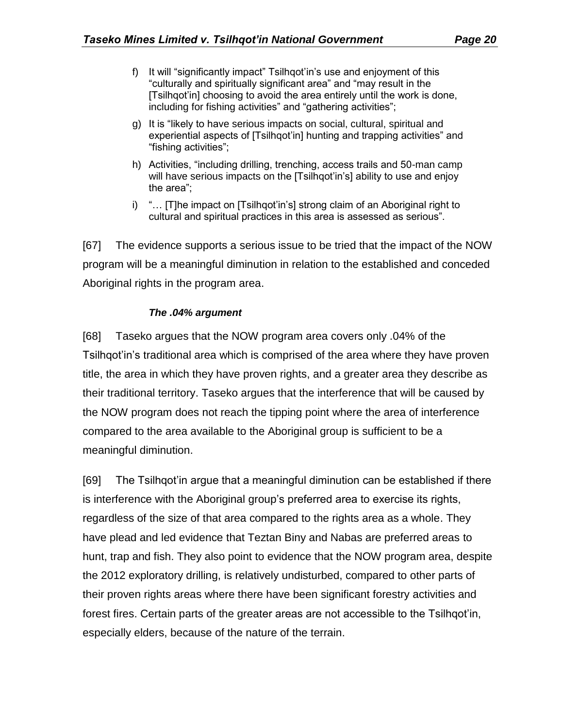- f) It will "significantly impact" Tsilhqot'in's use and enjoyment of this "culturally and spiritually significant area" and "may result in the [Tsilhqot'in] choosing to avoid the area entirely until the work is done, including for fishing activities" and "gathering activities";
- g) It is "likely to have serious impacts on social, cultural, spiritual and experiential aspects of [Tsilhqot'in] hunting and trapping activities" and "fishing activities";
- h) Activities, "including drilling, trenching, access trails and 50-man camp will have serious impacts on the [Tsilhqot'in's] ability to use and enjoy the area";
- i) "… [T]he impact on [Tsilhqot'in's] strong claim of an Aboriginal right to cultural and spiritual practices in this area is assessed as serious".

[67] The evidence supports a serious issue to be tried that the impact of the NOW program will be a meaningful diminution in relation to the established and conceded Aboriginal rights in the program area.

#### *The .04% argument*

[68] Taseko argues that the NOW program area covers only .04% of the Tsilhqot'in's traditional area which is comprised of the area where they have proven title, the area in which they have proven rights, and a greater area they describe as their traditional territory. Taseko argues that the interference that will be caused by the NOW program does not reach the tipping point where the area of interference compared to the area available to the Aboriginal group is sufficient to be a meaningful diminution.

[69] The Tsilhqot'in argue that a meaningful diminution can be established if there is interference with the Aboriginal group's preferred area to exercise its rights, regardless of the size of that area compared to the rights area as a whole. They have plead and led evidence that Teztan Biny and Nabas are preferred areas to hunt, trap and fish. They also point to evidence that the NOW program area, despite the 2012 exploratory drilling, is relatively undisturbed, compared to other parts of their proven rights areas where there have been significant forestry activities and forest fires. Certain parts of the greater areas are not accessible to the Tsilhqot'in, especially elders, because of the nature of the terrain.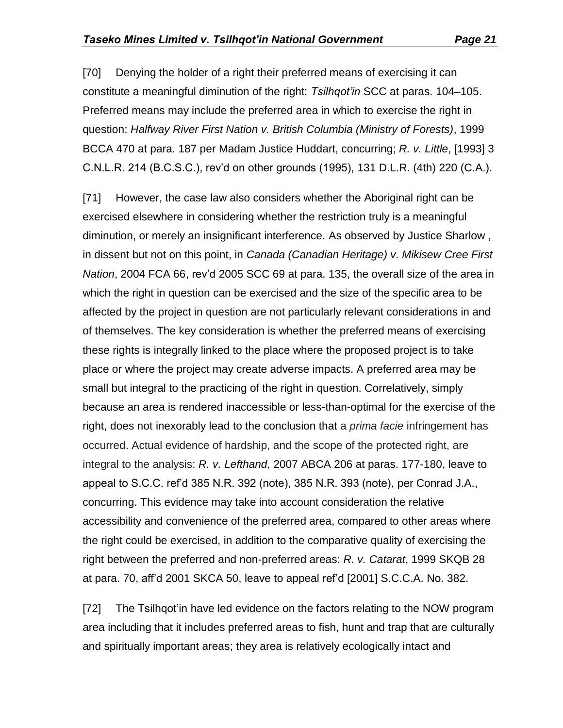[70] Denying the holder of a right their preferred means of exercising it can constitute a meaningful diminution of the right: *Tsilhqot'in* SCC at paras. 104–105. Preferred means may include the preferred area in which to exercise the right in question: *Halfway River First Nation v. British Columbia (Ministry of Forests)*, 1999 BCCA 470 at para. 187 per Madam Justice Huddart, concurring; *R. v. Little*, [1993] 3 C.N.L.R. 214 (B.C.S.C.), rev'd on other grounds (1995), 131 D.L.R. (4th) 220 (C.A.).

[71] However, the case law also considers whether the Aboriginal right can be exercised elsewhere in considering whether the restriction truly is a meaningful diminution, or merely an insignificant interference. As observed by Justice Sharlow , in dissent but not on this point, in *Canada (Canadian Heritage) v. Mikisew Cree First Nation*, 2004 FCA 66, rev'd 2005 SCC 69 at para. 135, the overall size of the area in which the right in question can be exercised and the size of the specific area to be affected by the project in question are not particularly relevant considerations in and of themselves. The key consideration is whether the preferred means of exercising these rights is integrally linked to the place where the proposed project is to take place or where the project may create adverse impacts. A preferred area may be small but integral to the practicing of the right in question. Correlatively, simply because an area is rendered inaccessible or less-than-optimal for the exercise of the right, does not inexorably lead to the conclusion that a *prima facie* infringement has occurred. Actual evidence of hardship, and the scope of the protected right, are integral to the analysis: *R. v. Lefthand,* 2007 ABCA 206 at paras. 177-180, leave to appeal to S.C.C. ref'd 385 N.R. 392 (note), 385 N.R. 393 (note), per Conrad J.A., concurring. This evidence may take into account consideration the relative accessibility and convenience of the preferred area, compared to other areas where the right could be exercised, in addition to the comparative quality of exercising the right between the preferred and non-preferred areas: *R. v. Catarat*, 1999 SKQB 28 at para. 70, aff'd 2001 SKCA 50, leave to appeal ref'd [2001] S.C.C.A. No. 382.

[72] The Tsilhqot'in have led evidence on the factors relating to the NOW program area including that it includes preferred areas to fish, hunt and trap that are culturally and spiritually important areas; they area is relatively ecologically intact and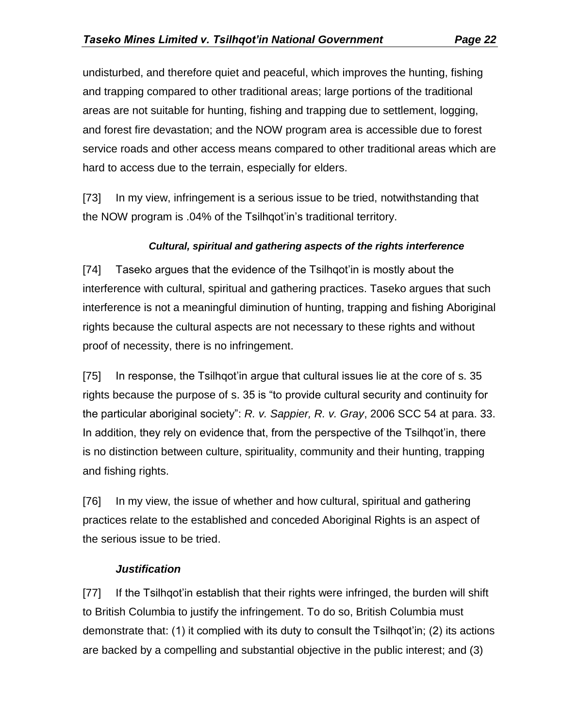undisturbed, and therefore quiet and peaceful, which improves the hunting, fishing and trapping compared to other traditional areas; large portions of the traditional areas are not suitable for hunting, fishing and trapping due to settlement, logging, and forest fire devastation; and the NOW program area is accessible due to forest service roads and other access means compared to other traditional areas which are hard to access due to the terrain, especially for elders.

[73] In my view, infringement is a serious issue to be tried, notwithstanding that the NOW program is .04% of the Tsilhqot'in's traditional territory.

#### *Cultural, spiritual and gathering aspects of the rights interference*

[74] Taseko argues that the evidence of the Tsilhqot'in is mostly about the interference with cultural, spiritual and gathering practices. Taseko argues that such interference is not a meaningful diminution of hunting, trapping and fishing Aboriginal rights because the cultural aspects are not necessary to these rights and without proof of necessity, there is no infringement.

[75] In response, the Tsilhqot'in argue that cultural issues lie at the core of s. 35 rights because the purpose of s. 35 is "to provide cultural security and continuity for the particular aboriginal society": *R. v. Sappier, R. v. Gray*, 2006 SCC 54 at para. 33. In addition, they rely on evidence that, from the perspective of the Tsilhqot'in, there is no distinction between culture, spirituality, community and their hunting, trapping and fishing rights.

[76] In my view, the issue of whether and how cultural, spiritual and gathering practices relate to the established and conceded Aboriginal Rights is an aspect of the serious issue to be tried.

#### *Justification*

[77] If the Tsilhqot'in establish that their rights were infringed, the burden will shift to British Columbia to justify the infringement. To do so, British Columbia must demonstrate that: (1) it complied with its duty to consult the Tsilhqot'in; (2) its actions are backed by a compelling and substantial objective in the public interest; and (3)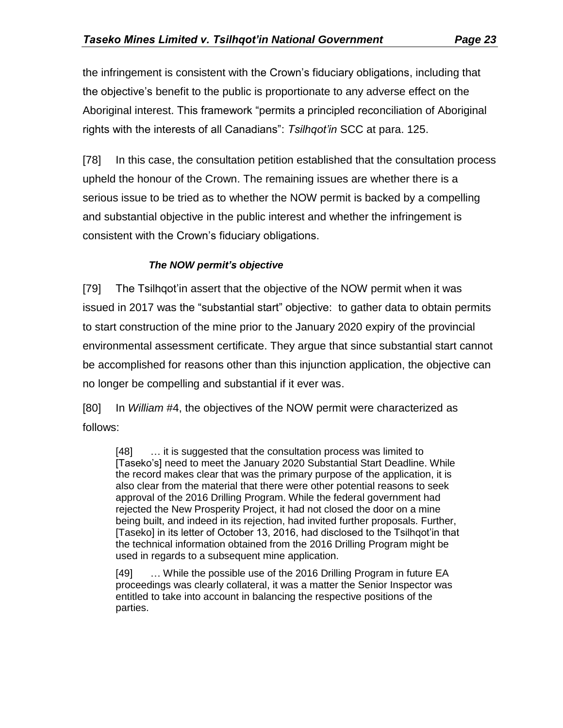the infringement is consistent with the Crown's fiduciary obligations, including that the objective's benefit to the public is proportionate to any adverse effect on the Aboriginal interest. This framework "permits a principled reconciliation of Aboriginal rights with the interests of all Canadians": *Tsilhqot'in* SCC at para. 125.

[78] In this case, the consultation petition established that the consultation process upheld the honour of the Crown. The remaining issues are whether there is a serious issue to be tried as to whether the NOW permit is backed by a compelling and substantial objective in the public interest and whether the infringement is consistent with the Crown's fiduciary obligations.

#### *The NOW permit's objective*

[79] The Tsilhqot'in assert that the objective of the NOW permit when it was issued in 2017 was the "substantial start" objective: to gather data to obtain permits to start construction of the mine prior to the January 2020 expiry of the provincial environmental assessment certificate. They argue that since substantial start cannot be accomplished for reasons other than this injunction application, the objective can no longer be compelling and substantial if it ever was.

[80] In *William* #4, the objectives of the NOW permit were characterized as follows:

[48]  $\ldots$  it is suggested that the consultation process was limited to [Taseko's] need to meet the January 2020 Substantial Start Deadline. While the record makes clear that was the primary purpose of the application, it is also clear from the material that there were other potential reasons to seek approval of the 2016 Drilling Program. While the federal government had rejected the New Prosperity Project, it had not closed the door on a mine being built, and indeed in its rejection, had invited further proposals. Further, [Taseko] in its letter of October 13, 2016, had disclosed to the Tsilhqot'in that the technical information obtained from the 2016 Drilling Program might be used in regards to a subsequent mine application.

[49] ... While the possible use of the 2016 Drilling Program in future EA proceedings was clearly collateral, it was a matter the Senior Inspector was entitled to take into account in balancing the respective positions of the parties.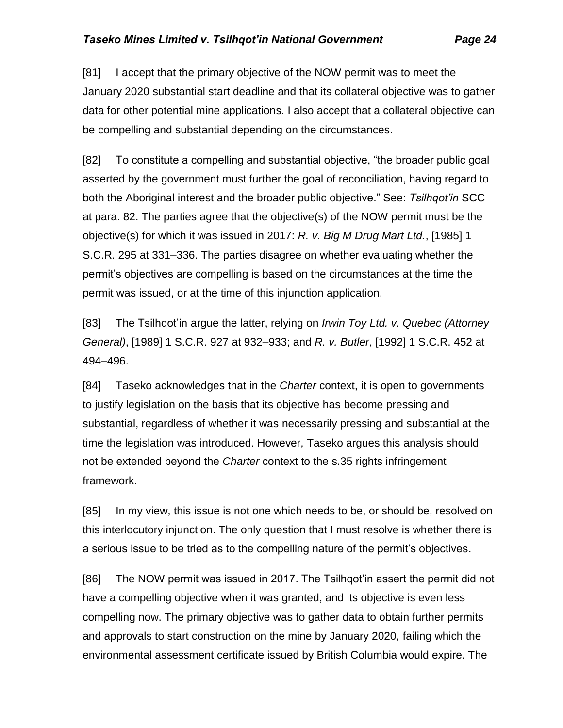[81] I accept that the primary objective of the NOW permit was to meet the January 2020 substantial start deadline and that its collateral objective was to gather data for other potential mine applications. I also accept that a collateral objective can be compelling and substantial depending on the circumstances.

[82] To constitute a compelling and substantial objective, "the broader public goal asserted by the government must further the goal of reconciliation, having regard to both the Aboriginal interest and the broader public objective." See: *Tsilhqot'in* SCC at para. 82. The parties agree that the objective(s) of the NOW permit must be the objective(s) for which it was issued in 2017: *R. v. Big M Drug Mart Ltd.*, [1985] 1 S.C.R. 295 at 331–336. The parties disagree on whether evaluating whether the permit's objectives are compelling is based on the circumstances at the time the permit was issued, or at the time of this injunction application.

[83] The Tsilhqot'in argue the latter, relying on *Irwin Toy Ltd. v. Quebec (Attorney General)*, [1989] 1 S.C.R. 927 at 932–933; and *R. v. Butler*, [1992] 1 S.C.R. 452 at 494–496.

[84] Taseko acknowledges that in the *Charter* context, it is open to governments to justify legislation on the basis that its objective has become pressing and substantial, regardless of whether it was necessarily pressing and substantial at the time the legislation was introduced. However, Taseko argues this analysis should not be extended beyond the *Charter* context to the s.35 rights infringement framework.

[85] In my view, this issue is not one which needs to be, or should be, resolved on this interlocutory injunction. The only question that I must resolve is whether there is a serious issue to be tried as to the compelling nature of the permit's objectives.

[86] The NOW permit was issued in 2017. The Tsilhqot'in assert the permit did not have a compelling objective when it was granted, and its objective is even less compelling now. The primary objective was to gather data to obtain further permits and approvals to start construction on the mine by January 2020, failing which the environmental assessment certificate issued by British Columbia would expire. The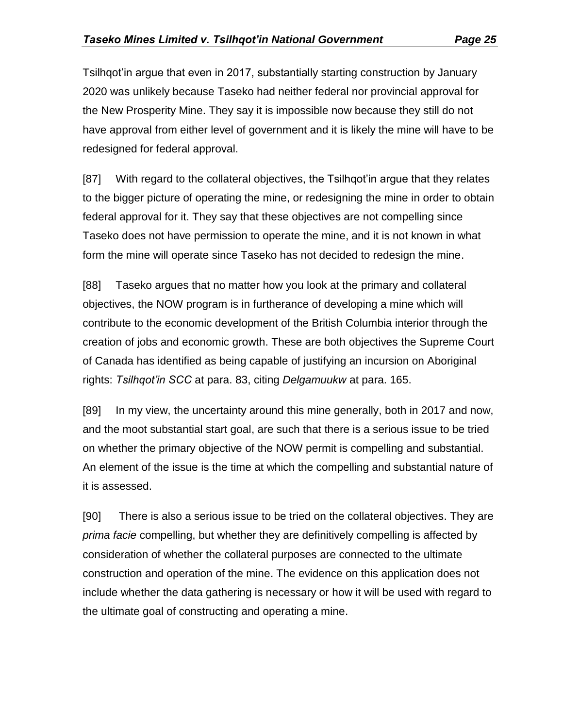Tsilhgot'in argue that even in 2017, substantially starting construction by January 2020 was unlikely because Taseko had neither federal nor provincial approval for the New Prosperity Mine. They say it is impossible now because they still do not have approval from either level of government and it is likely the mine will have to be redesigned for federal approval.

[87] With regard to the collateral objectives, the Tsilhqot'in argue that they relates to the bigger picture of operating the mine, or redesigning the mine in order to obtain federal approval for it. They say that these objectives are not compelling since Taseko does not have permission to operate the mine, and it is not known in what form the mine will operate since Taseko has not decided to redesign the mine.

[88] Taseko argues that no matter how you look at the primary and collateral objectives, the NOW program is in furtherance of developing a mine which will contribute to the economic development of the British Columbia interior through the creation of jobs and economic growth. These are both objectives the Supreme Court of Canada has identified as being capable of justifying an incursion on Aboriginal rights: *Tsilhqot'in SCC* at para. 83, citing *Delgamuukw* at para. 165.

[89] In my view, the uncertainty around this mine generally, both in 2017 and now, and the moot substantial start goal, are such that there is a serious issue to be tried on whether the primary objective of the NOW permit is compelling and substantial. An element of the issue is the time at which the compelling and substantial nature of it is assessed.

[90] There is also a serious issue to be tried on the collateral objectives. They are *prima facie* compelling, but whether they are definitively compelling is affected by consideration of whether the collateral purposes are connected to the ultimate construction and operation of the mine. The evidence on this application does not include whether the data gathering is necessary or how it will be used with regard to the ultimate goal of constructing and operating a mine.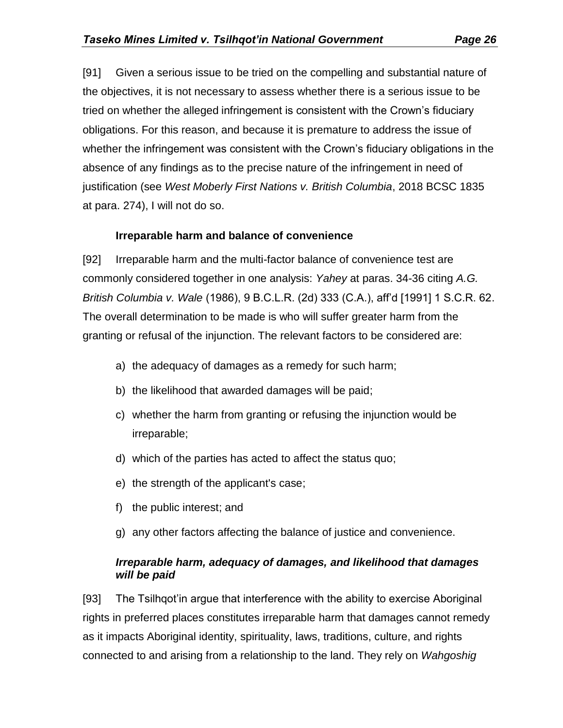[91] Given a serious issue to be tried on the compelling and substantial nature of the objectives, it is not necessary to assess whether there is a serious issue to be tried on whether the alleged infringement is consistent with the Crown's fiduciary obligations. For this reason, and because it is premature to address the issue of whether the infringement was consistent with the Crown's fiduciary obligations in the absence of any findings as to the precise nature of the infringement in need of justification (see *West Moberly First Nations v. British Columbia*, 2018 BCSC 1835 at para. 274), I will not do so.

#### **Irreparable harm and balance of convenience**

[92] Irreparable harm and the multi-factor balance of convenience test are commonly considered together in one analysis: *Yahey* at paras. 34-36 citing *A.G. British Columbia v. Wale* (1986), 9 B.C.L.R. (2d) 333 (C.A.), aff'd [1991] 1 S.C.R. 62. The overall determination to be made is who will suffer greater harm from the granting or refusal of the injunction. The relevant factors to be considered are:

- a) the adequacy of damages as a remedy for such harm;
- b) the likelihood that awarded damages will be paid;
- c) whether the harm from granting or refusing the injunction would be irreparable;
- d) which of the parties has acted to affect the status quo;
- e) the strength of the applicant's case;
- f) the public interest; and
- g) any other factors affecting the balance of justice and convenience.

#### *Irreparable harm, adequacy of damages, and likelihood that damages will be paid*

[93] The Tsilhqot'in argue that interference with the ability to exercise Aboriginal rights in preferred places constitutes irreparable harm that damages cannot remedy as it impacts Aboriginal identity, spirituality, laws, traditions, culture, and rights connected to and arising from a relationship to the land. They rely on *Wahgoshig*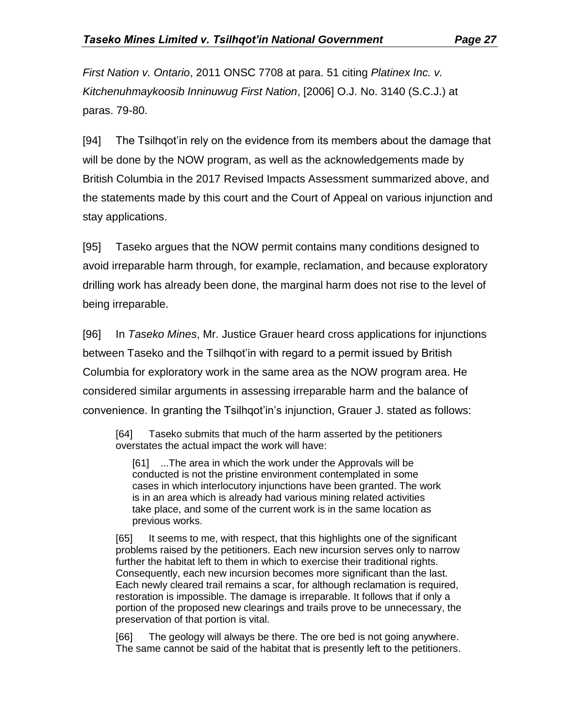*First Nation v. Ontario*, 2011 ONSC 7708 at para. 51 citing *Platinex Inc. v. Kitchenuhmaykoosib Inninuwug First Nation*, [2006] O.J. No. 3140 (S.C.J.) at paras. 79-80.

[94] The Tsilhqot'in rely on the evidence from its members about the damage that will be done by the NOW program, as well as the acknowledgements made by British Columbia in the 2017 Revised Impacts Assessment summarized above, and the statements made by this court and the Court of Appeal on various injunction and stay applications.

[95] Taseko argues that the NOW permit contains many conditions designed to avoid irreparable harm through, for example, reclamation, and because exploratory drilling work has already been done, the marginal harm does not rise to the level of being irreparable.

[96] In *Taseko Mines*, Mr. Justice Grauer heard cross applications for injunctions between Taseko and the Tsilhqot'in with regard to a permit issued by British Columbia for exploratory work in the same area as the NOW program area. He considered similar arguments in assessing irreparable harm and the balance of convenience. In granting the Tsilhqot'in's injunction, Grauer J. stated as follows:

[64] Taseko submits that much of the harm asserted by the petitioners overstates the actual impact the work will have:

[61] ...The area in which the work under the Approvals will be conducted is not the pristine environment contemplated in some cases in which interlocutory injunctions have been granted. The work is in an area which is already had various mining related activities take place, and some of the current work is in the same location as previous works.

[65] It seems to me, with respect, that this highlights one of the significant problems raised by the petitioners. Each new incursion serves only to narrow further the habitat left to them in which to exercise their traditional rights. Consequently, each new incursion becomes more significant than the last. Each newly cleared trail remains a scar, for although reclamation is required, restoration is impossible. The damage is irreparable. It follows that if only a portion of the proposed new clearings and trails prove to be unnecessary, the preservation of that portion is vital.

[66] The geology will always be there. The ore bed is not going anywhere. The same cannot be said of the habitat that is presently left to the petitioners.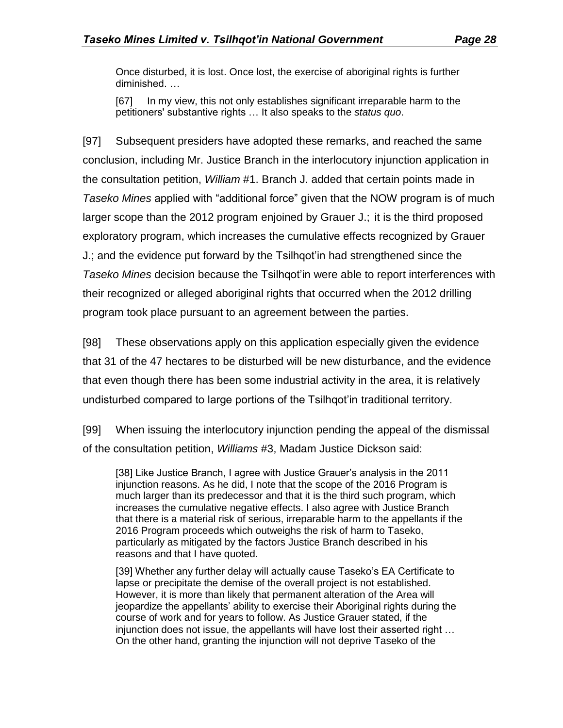Once disturbed, it is lost. Once lost, the exercise of aboriginal rights is further diminished. …

[67] In my view, this not only establishes significant irreparable harm to the petitioners' substantive rights … It also speaks to the *status quo*.

[97] Subsequent presiders have adopted these remarks, and reached the same conclusion, including Mr. Justice Branch in the interlocutory injunction application in the consultation petition, *William* #1. Branch J. added that certain points made in *Taseko Mines* applied with "additional force" given that the NOW program is of much larger scope than the 2012 program enjoined by Grauer J.; it is the third proposed exploratory program, which increases the cumulative effects recognized by Grauer J.; and the evidence put forward by the Tsilhqot'in had strengthened since the *Taseko Mines* decision because the Tsilhqot'in were able to report interferences with their recognized or alleged aboriginal rights that occurred when the 2012 drilling program took place pursuant to an agreement between the parties.

[98] These observations apply on this application especially given the evidence that 31 of the 47 hectares to be disturbed will be new disturbance, and the evidence that even though there has been some industrial activity in the area, it is relatively undisturbed compared to large portions of the Tsilhqot'in traditional territory.

[99] When issuing the interlocutory injunction pending the appeal of the dismissal of the consultation petition, *Williams* #3, Madam Justice Dickson said:

[38] Like Justice Branch, I agree with Justice Grauer's analysis in the 2011 injunction reasons. As he did, I note that the scope of the 2016 Program is much larger than its predecessor and that it is the third such program, which increases the cumulative negative effects. I also agree with Justice Branch that there is a material risk of serious, irreparable harm to the appellants if the 2016 Program proceeds which outweighs the risk of harm to Taseko, particularly as mitigated by the factors Justice Branch described in his reasons and that I have quoted.

[39] Whether any further delay will actually cause Taseko's EA Certificate to lapse or precipitate the demise of the overall project is not established. However, it is more than likely that permanent alteration of the Area will jeopardize the appellants' ability to exercise their Aboriginal rights during the course of work and for years to follow. As Justice Grauer stated, if the injunction does not issue, the appellants will have lost their asserted right … On the other hand, granting the injunction will not deprive Taseko of the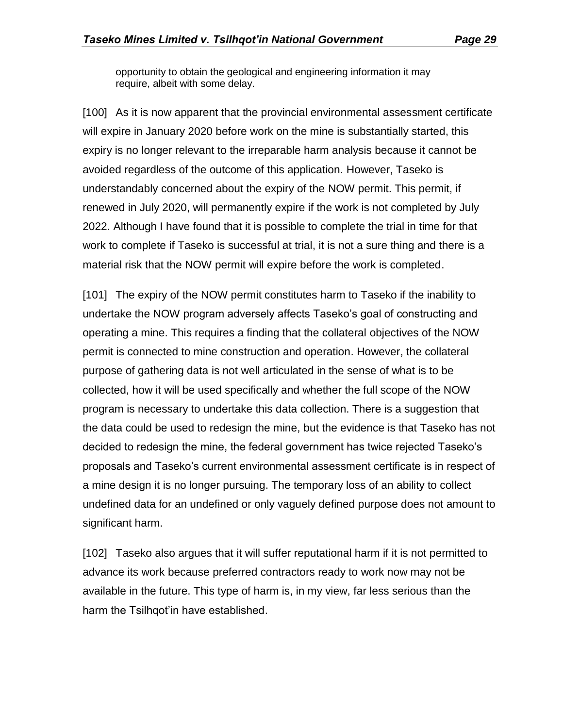opportunity to obtain the geological and engineering information it may require, albeit with some delay.

[100] As it is now apparent that the provincial environmental assessment certificate will expire in January 2020 before work on the mine is substantially started, this expiry is no longer relevant to the irreparable harm analysis because it cannot be avoided regardless of the outcome of this application. However, Taseko is understandably concerned about the expiry of the NOW permit. This permit, if renewed in July 2020, will permanently expire if the work is not completed by July 2022. Although I have found that it is possible to complete the trial in time for that work to complete if Taseko is successful at trial, it is not a sure thing and there is a material risk that the NOW permit will expire before the work is completed.

[101] The expiry of the NOW permit constitutes harm to Taseko if the inability to undertake the NOW program adversely affects Taseko's goal of constructing and operating a mine. This requires a finding that the collateral objectives of the NOW permit is connected to mine construction and operation. However, the collateral purpose of gathering data is not well articulated in the sense of what is to be collected, how it will be used specifically and whether the full scope of the NOW program is necessary to undertake this data collection. There is a suggestion that the data could be used to redesign the mine, but the evidence is that Taseko has not decided to redesign the mine, the federal government has twice rejected Taseko's proposals and Taseko's current environmental assessment certificate is in respect of a mine design it is no longer pursuing. The temporary loss of an ability to collect undefined data for an undefined or only vaguely defined purpose does not amount to significant harm.

[102] Taseko also argues that it will suffer reputational harm if it is not permitted to advance its work because preferred contractors ready to work now may not be available in the future. This type of harm is, in my view, far less serious than the harm the Tsilhqot'in have established.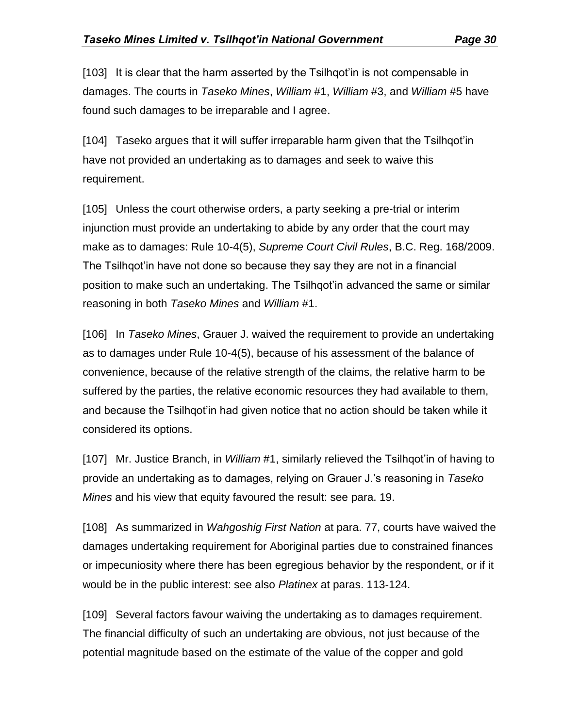[103] It is clear that the harm asserted by the Tsilhqot'in is not compensable in damages. The courts in *Taseko Mines*, *William* #1, *William* #3, and *William* #5 have found such damages to be irreparable and I agree.

[104] Taseko argues that it will suffer irreparable harm given that the Tsilhqot'in have not provided an undertaking as to damages and seek to waive this requirement.

[105] Unless the court otherwise orders, a party seeking a pre-trial or interim injunction must provide an undertaking to abide by any order that the court may make as to damages: Rule 10-4(5), *Supreme Court Civil Rules*, B.C. Reg. 168/2009. The Tsilhqot'in have not done so because they say they are not in a financial position to make such an undertaking. The Tsilhqot'in advanced the same or similar reasoning in both *Taseko Mines* and *William* #1.

[106] In *Taseko Mines*, Grauer J. waived the requirement to provide an undertaking as to damages under Rule 10-4(5), because of his assessment of the balance of convenience, because of the relative strength of the claims, the relative harm to be suffered by the parties, the relative economic resources they had available to them, and because the Tsilhqot'in had given notice that no action should be taken while it considered its options.

[107] Mr. Justice Branch, in *William* #1, similarly relieved the Tsilhqot'in of having to provide an undertaking as to damages, relying on Grauer J.'s reasoning in *Taseko Mines* and his view that equity favoured the result: see para. 19.

[108] As summarized in *Wahgoshig First Nation* at para. 77, courts have waived the damages undertaking requirement for Aboriginal parties due to constrained finances or impecuniosity where there has been egregious behavior by the respondent, or if it would be in the public interest: see also *Platinex* at paras. 113-124.

[109] Several factors favour waiving the undertaking as to damages requirement. The financial difficulty of such an undertaking are obvious, not just because of the potential magnitude based on the estimate of the value of the copper and gold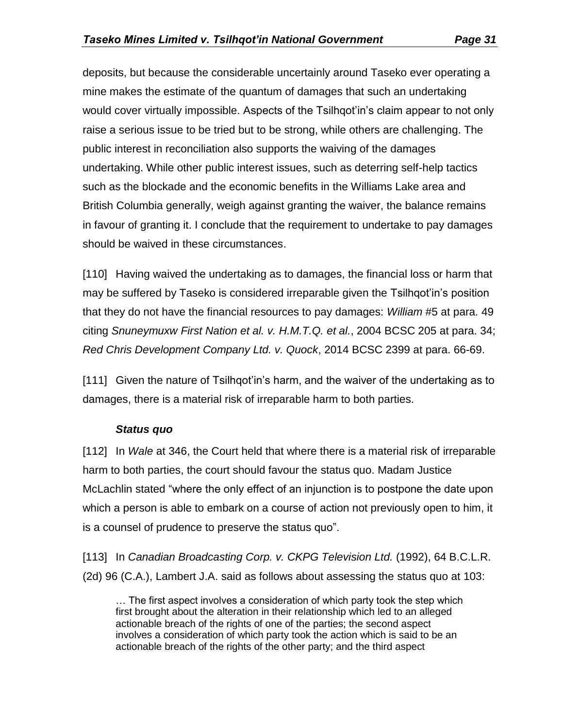deposits, but because the considerable uncertainly around Taseko ever operating a mine makes the estimate of the quantum of damages that such an undertaking would cover virtually impossible. Aspects of the Tsilhqot'in's claim appear to not only raise a serious issue to be tried but to be strong, while others are challenging. The public interest in reconciliation also supports the waiving of the damages undertaking. While other public interest issues, such as deterring self-help tactics such as the blockade and the economic benefits in the Williams Lake area and British Columbia generally, weigh against granting the waiver, the balance remains in favour of granting it. I conclude that the requirement to undertake to pay damages should be waived in these circumstances.

[110] Having waived the undertaking as to damages, the financial loss or harm that may be suffered by Taseko is considered irreparable given the Tsilhqot'in's position that they do not have the financial resources to pay damages: *William #*5 at para. 49 citing *Snuneymuxw First Nation et al. v. H.M.T.Q. et al.*, 2004 BCSC 205 at para. 34; *Red Chris Development Company Ltd. v. Quock*, 2014 BCSC 2399 at para. 66-69.

[111] Given the nature of Tsilhqot'in's harm, and the waiver of the undertaking as to damages, there is a material risk of irreparable harm to both parties.

#### *Status quo*

[112] In *Wale* at 346, the Court held that where there is a material risk of irreparable harm to both parties, the court should favour the status quo. Madam Justice McLachlin stated "where the only effect of an injunction is to postpone the date upon which a person is able to embark on a course of action not previously open to him, it is a counsel of prudence to preserve the status quo".

[113] In *Canadian Broadcasting Corp. v. CKPG Television Ltd.* (1992), 64 B.C.L.R. (2d) 96 (C.A.), Lambert J.A. said as follows about assessing the status quo at 103:

… The first aspect involves a consideration of which party took the step which first brought about the alteration in their relationship which led to an alleged actionable breach of the rights of one of the parties; the second aspect involves a consideration of which party took the action which is said to be an actionable breach of the rights of the other party; and the third aspect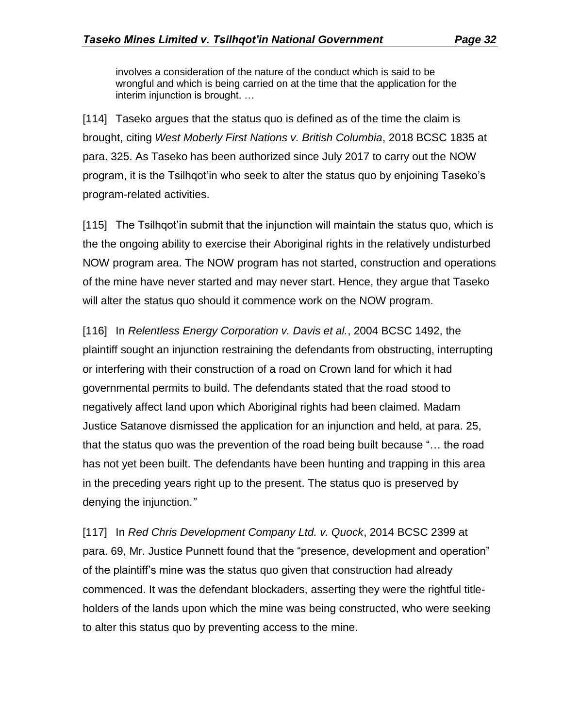involves a consideration of the nature of the conduct which is said to be wrongful and which is being carried on at the time that the application for the interim injunction is brought. …

[114] Taseko argues that the status quo is defined as of the time the claim is brought, citing *West Moberly First Nations v. British Columbia*, 2018 BCSC 1835 at para. 325. As Taseko has been authorized since July 2017 to carry out the NOW program, it is the Tsilhqot'in who seek to alter the status quo by enjoining Taseko's program-related activities.

[115] The Tsilhqot'in submit that the injunction will maintain the status quo, which is the the ongoing ability to exercise their Aboriginal rights in the relatively undisturbed NOW program area. The NOW program has not started, construction and operations of the mine have never started and may never start. Hence, they argue that Taseko will alter the status quo should it commence work on the NOW program.

[116] In *Relentless Energy Corporation v. Davis et al.*, 2004 BCSC 1492, the plaintiff sought an injunction restraining the defendants from obstructing, interrupting or interfering with their construction of a road on Crown land for which it had governmental permits to build. The defendants stated that the road stood to negatively affect land upon which Aboriginal rights had been claimed. Madam Justice Satanove dismissed the application for an injunction and held, at para. 25, that the status quo was the prevention of the road being built because "… the road has not yet been built. The defendants have been hunting and trapping in this area in the preceding years right up to the present. The status quo is preserved by denying the injunction*."*

[117] In *Red Chris Development Company Ltd. v. Quock*, 2014 BCSC 2399 at para. 69, Mr. Justice Punnett found that the "presence, development and operation" of the plaintiff's mine was the status quo given that construction had already commenced. It was the defendant blockaders, asserting they were the rightful titleholders of the lands upon which the mine was being constructed, who were seeking to alter this status quo by preventing access to the mine.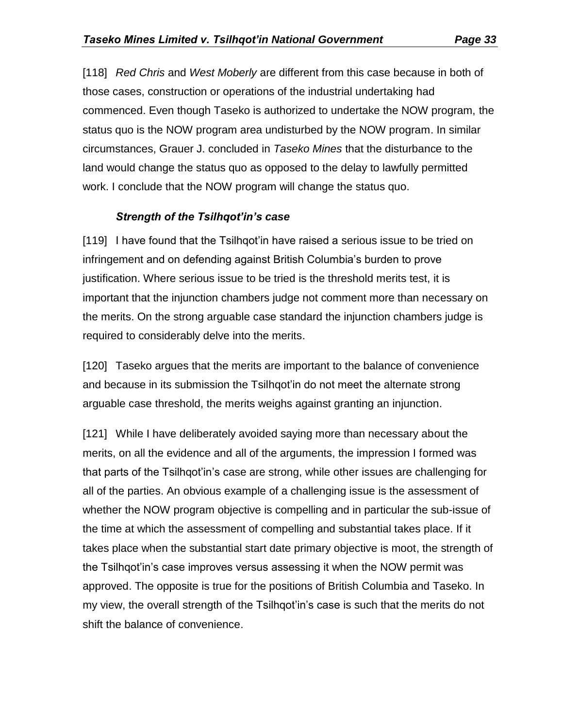[118] *Red Chris* and *West Moberly* are different from this case because in both of those cases, construction or operations of the industrial undertaking had commenced. Even though Taseko is authorized to undertake the NOW program, the status quo is the NOW program area undisturbed by the NOW program. In similar circumstances, Grauer J. concluded in *Taseko Mines* that the disturbance to the land would change the status quo as opposed to the delay to lawfully permitted work. I conclude that the NOW program will change the status quo.

## *Strength of the Tsilhqot'in's case*

[119] I have found that the Tsilhqot'in have raised a serious issue to be tried on infringement and on defending against British Columbia's burden to prove justification. Where serious issue to be tried is the threshold merits test, it is important that the injunction chambers judge not comment more than necessary on the merits. On the strong arguable case standard the injunction chambers judge is required to considerably delve into the merits.

[120] Taseko argues that the merits are important to the balance of convenience and because in its submission the Tsilhqot'in do not meet the alternate strong arguable case threshold, the merits weighs against granting an injunction.

[121] While I have deliberately avoided saying more than necessary about the merits, on all the evidence and all of the arguments, the impression I formed was that parts of the Tsilhqot'in's case are strong, while other issues are challenging for all of the parties. An obvious example of a challenging issue is the assessment of whether the NOW program objective is compelling and in particular the sub-issue of the time at which the assessment of compelling and substantial takes place. If it takes place when the substantial start date primary objective is moot, the strength of the Tsilhqot'in's case improves versus assessing it when the NOW permit was approved. The opposite is true for the positions of British Columbia and Taseko. In my view, the overall strength of the Tsilhqot'in's case is such that the merits do not shift the balance of convenience.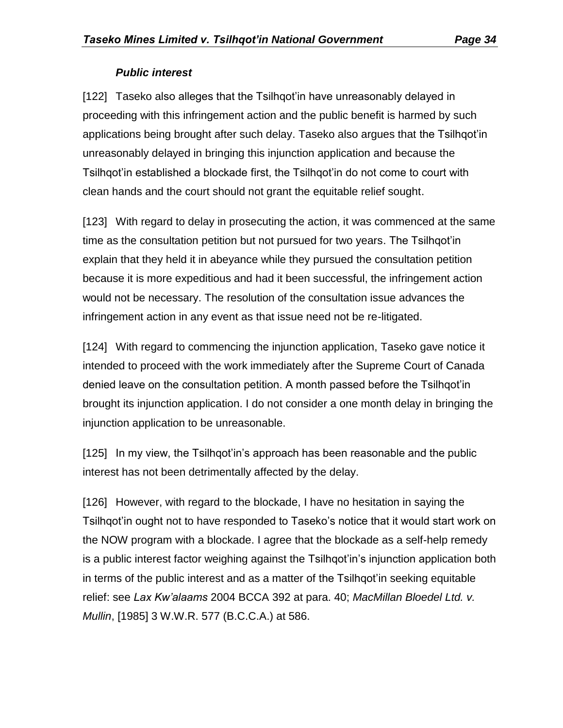## *Public interest*

[122] Taseko also alleges that the Tsilhqot'in have unreasonably delayed in proceeding with this infringement action and the public benefit is harmed by such applications being brought after such delay. Taseko also argues that the Tsilhqot'in unreasonably delayed in bringing this injunction application and because the Tsilhqot'in established a blockade first, the Tsilhqot'in do not come to court with clean hands and the court should not grant the equitable relief sought.

[123] With regard to delay in prosecuting the action, it was commenced at the same time as the consultation petition but not pursued for two years. The Tsilhqot'in explain that they held it in abeyance while they pursued the consultation petition because it is more expeditious and had it been successful, the infringement action would not be necessary. The resolution of the consultation issue advances the infringement action in any event as that issue need not be re-litigated.

[124] With regard to commencing the injunction application, Taseko gave notice it intended to proceed with the work immediately after the Supreme Court of Canada denied leave on the consultation petition. A month passed before the Tsilhqot'in brought its injunction application. I do not consider a one month delay in bringing the injunction application to be unreasonable.

[125] In my view, the Tsilhqot'in's approach has been reasonable and the public interest has not been detrimentally affected by the delay.

[126] However, with regard to the blockade, I have no hesitation in saying the Tsilhqot'in ought not to have responded to Taseko's notice that it would start work on the NOW program with a blockade. I agree that the blockade as a self-help remedy is a public interest factor weighing against the Tsilhqot'in's injunction application both in terms of the public interest and as a matter of the Tsilhqot'in seeking equitable relief: see *Lax Kw'alaams* 2004 BCCA 392 at para. 40; *MacMillan Bloedel Ltd. v. Mullin*, [1985] 3 W.W.R. 577 (B.C.C.A.) at 586.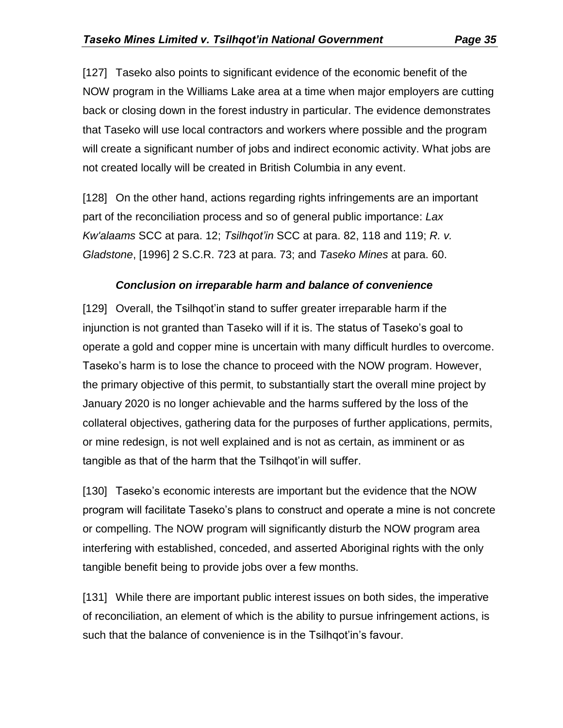[127] Taseko also points to significant evidence of the economic benefit of the NOW program in the Williams Lake area at a time when major employers are cutting back or closing down in the forest industry in particular. The evidence demonstrates that Taseko will use local contractors and workers where possible and the program will create a significant number of jobs and indirect economic activity. What jobs are not created locally will be created in British Columbia in any event.

[128] On the other hand, actions regarding rights infringements are an important part of the reconciliation process and so of general public importance: *Lax Kw'alaams* SCC at para. 12; *Tsilhqot'in* SCC at para. 82, 118 and 119; *R. v. Gladstone*, [1996] 2 S.C.R. 723 at para. 73; and *Taseko Mines* at para. 60.

#### *Conclusion on irreparable harm and balance of convenience*

[129] Overall, the Tsilhqot'in stand to suffer greater irreparable harm if the injunction is not granted than Taseko will if it is. The status of Taseko's goal to operate a gold and copper mine is uncertain with many difficult hurdles to overcome. Taseko's harm is to lose the chance to proceed with the NOW program. However, the primary objective of this permit, to substantially start the overall mine project by January 2020 is no longer achievable and the harms suffered by the loss of the collateral objectives, gathering data for the purposes of further applications, permits, or mine redesign, is not well explained and is not as certain, as imminent or as tangible as that of the harm that the Tsilhqot'in will suffer.

[130] Taseko's economic interests are important but the evidence that the NOW program will facilitate Taseko's plans to construct and operate a mine is not concrete or compelling. The NOW program will significantly disturb the NOW program area interfering with established, conceded, and asserted Aboriginal rights with the only tangible benefit being to provide jobs over a few months.

[131] While there are important public interest issues on both sides, the imperative of reconciliation, an element of which is the ability to pursue infringement actions, is such that the balance of convenience is in the Tsilhqot'in's favour.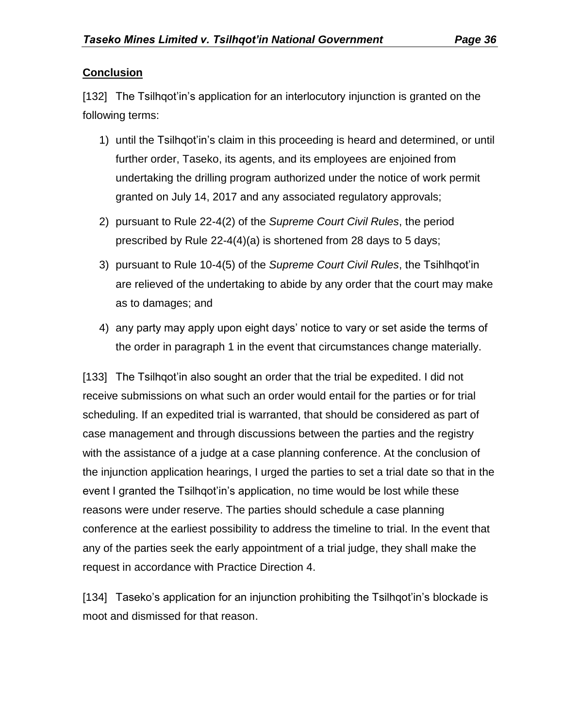### **Conclusion**

[132] The Tsilhqot'in's application for an interlocutory injunction is granted on the following terms:

- 1) until the Tsilhqot'in's claim in this proceeding is heard and determined, or until further order, Taseko, its agents, and its employees are enjoined from undertaking the drilling program authorized under the notice of work permit granted on July 14, 2017 and any associated regulatory approvals;
- 2) pursuant to Rule 22-4(2) of the *Supreme Court Civil Rules*, the period prescribed by Rule 22-4(4)(a) is shortened from 28 days to 5 days;
- 3) pursuant to Rule 10-4(5) of the *Supreme Court Civil Rules*, the Tsihlhqot'in are relieved of the undertaking to abide by any order that the court may make as to damages; and
- 4) any party may apply upon eight days' notice to vary or set aside the terms of the order in paragraph 1 in the event that circumstances change materially.

[133] The Tsilhqot'in also sought an order that the trial be expedited. I did not receive submissions on what such an order would entail for the parties or for trial scheduling. If an expedited trial is warranted, that should be considered as part of case management and through discussions between the parties and the registry with the assistance of a judge at a case planning conference. At the conclusion of the injunction application hearings, I urged the parties to set a trial date so that in the event I granted the Tsilhqot'in's application, no time would be lost while these reasons were under reserve. The parties should schedule a case planning conference at the earliest possibility to address the timeline to trial. In the event that any of the parties seek the early appointment of a trial judge, they shall make the request in accordance with Practice Direction 4.

[134] Taseko's application for an injunction prohibiting the Tsilhqot'in's blockade is moot and dismissed for that reason.